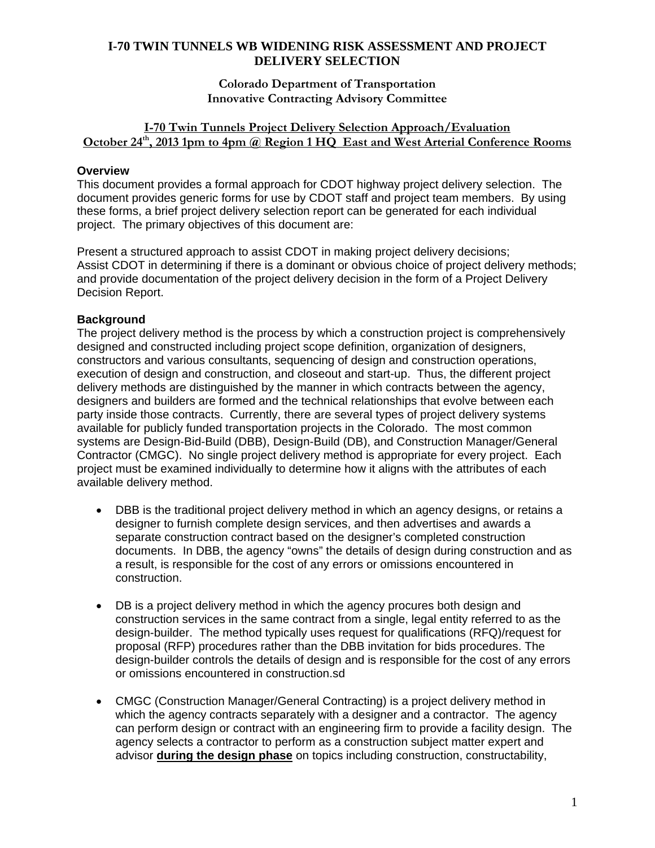## **Colorado Department of Transportation Innovative Contracting Advisory Committee**

## **I-70 Twin Tunnels Project Delivery Selection Approach/Evaluation**  October 24<sup>th</sup>, 2013 1pm to 4pm @ Region 1 HQ East and West Arterial Conference Rooms

# **Overview**

This document provides a formal approach for CDOT highway project delivery selection. The document provides generic forms for use by CDOT staff and project team members. By using these forms, a brief project delivery selection report can be generated for each individual project. The primary objectives of this document are:

Present a structured approach to assist CDOT in making project delivery decisions; Assist CDOT in determining if there is a dominant or obvious choice of project delivery methods; and provide documentation of the project delivery decision in the form of a Project Delivery Decision Report.

# **Background**

The project delivery method is the process by which a construction project is comprehensively designed and constructed including project scope definition, organization of designers, constructors and various consultants, sequencing of design and construction operations, execution of design and construction, and closeout and start-up. Thus, the different project delivery methods are distinguished by the manner in which contracts between the agency, designers and builders are formed and the technical relationships that evolve between each party inside those contracts. Currently, there are several types of project delivery systems available for publicly funded transportation projects in the Colorado. The most common systems are Design-Bid-Build (DBB), Design-Build (DB), and Construction Manager/General Contractor (CMGC). No single project delivery method is appropriate for every project. Each project must be examined individually to determine how it aligns with the attributes of each available delivery method.

- DBB is the traditional project delivery method in which an agency designs, or retains a designer to furnish complete design services, and then advertises and awards a separate construction contract based on the designer's completed construction documents. In DBB, the agency "owns" the details of design during construction and as a result, is responsible for the cost of any errors or omissions encountered in construction.
- DB is a project delivery method in which the agency procures both design and construction services in the same contract from a single, legal entity referred to as the design-builder. The method typically uses request for qualifications (RFQ)/request for proposal (RFP) procedures rather than the DBB invitation for bids procedures. The design-builder controls the details of design and is responsible for the cost of any errors or omissions encountered in construction.sd
- CMGC (Construction Manager/General Contracting) is a project delivery method in which the agency contracts separately with a designer and a contractor. The agency can perform design or contract with an engineering firm to provide a facility design. The agency selects a contractor to perform as a construction subject matter expert and advisor **during the design phase** on topics including construction, constructability,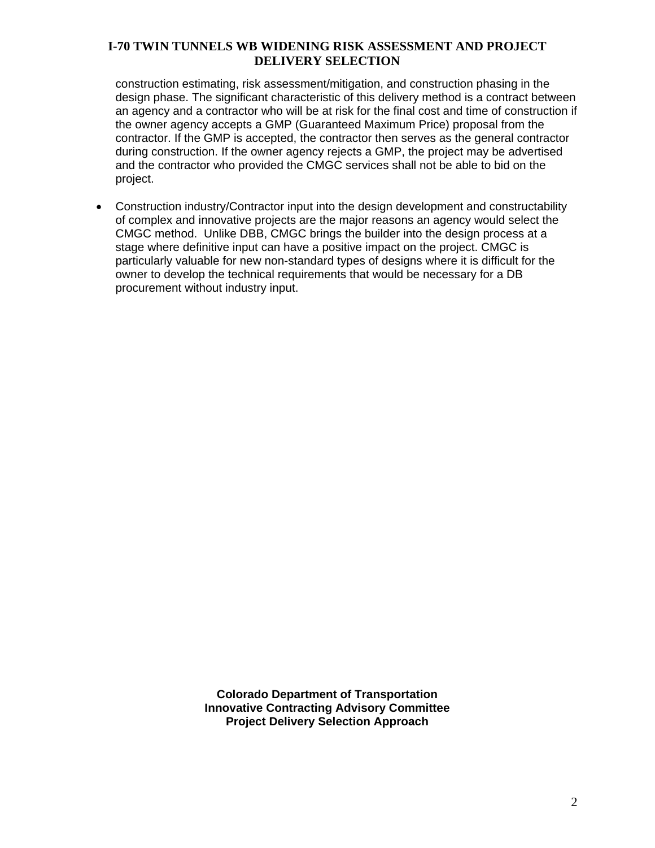construction estimating, risk assessment/mitigation, and construction phasing in the design phase. The significant characteristic of this delivery method is a contract between an agency and a contractor who will be at risk for the final cost and time of construction if the owner agency accepts a GMP (Guaranteed Maximum Price) proposal from the contractor. If the GMP is accepted, the contractor then serves as the general contractor during construction. If the owner agency rejects a GMP, the project may be advertised and the contractor who provided the CMGC services shall not be able to bid on the project.

 Construction industry/Contractor input into the design development and constructability of complex and innovative projects are the major reasons an agency would select the CMGC method. Unlike DBB, CMGC brings the builder into the design process at a stage where definitive input can have a positive impact on the project. CMGC is particularly valuable for new non-standard types of designs where it is difficult for the owner to develop the technical requirements that would be necessary for a DB procurement without industry input.

> **Colorado Department of Transportation Innovative Contracting Advisory Committee Project Delivery Selection Approach**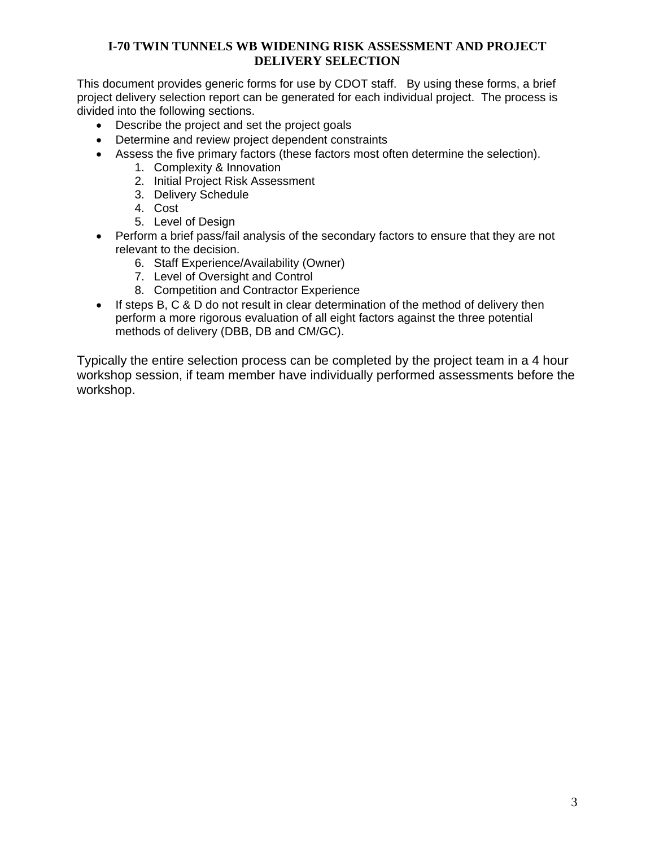This document provides generic forms for use by CDOT staff. By using these forms, a brief project delivery selection report can be generated for each individual project. The process is divided into the following sections.

- Describe the project and set the project goals
- Determine and review project dependent constraints
- Assess the five primary factors (these factors most often determine the selection).
	- 1. Complexity & Innovation
	- 2. Initial Project Risk Assessment
	- 3. Delivery Schedule
	- 4. Cost
	- 5. Level of Design
- Perform a brief pass/fail analysis of the secondary factors to ensure that they are not relevant to the decision.
	- 6. Staff Experience/Availability (Owner)
	- 7. Level of Oversight and Control
	- 8. Competition and Contractor Experience
- $\bullet$  If steps B, C & D do not result in clear determination of the method of delivery then perform a more rigorous evaluation of all eight factors against the three potential methods of delivery (DBB, DB and CM/GC).

Typically the entire selection process can be completed by the project team in a 4 hour workshop session, if team member have individually performed assessments before the workshop.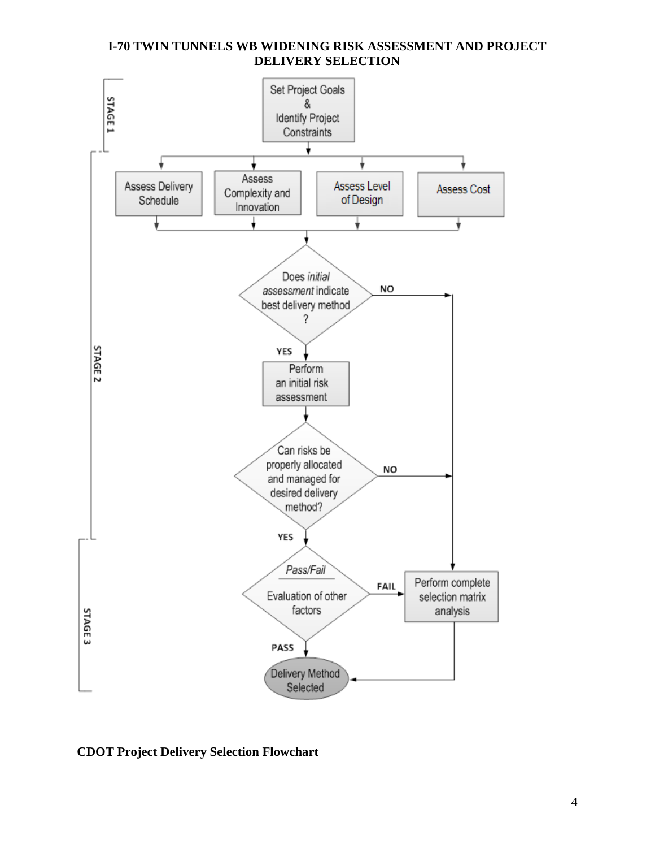

# **CDOT Project Delivery Selection Flowchart**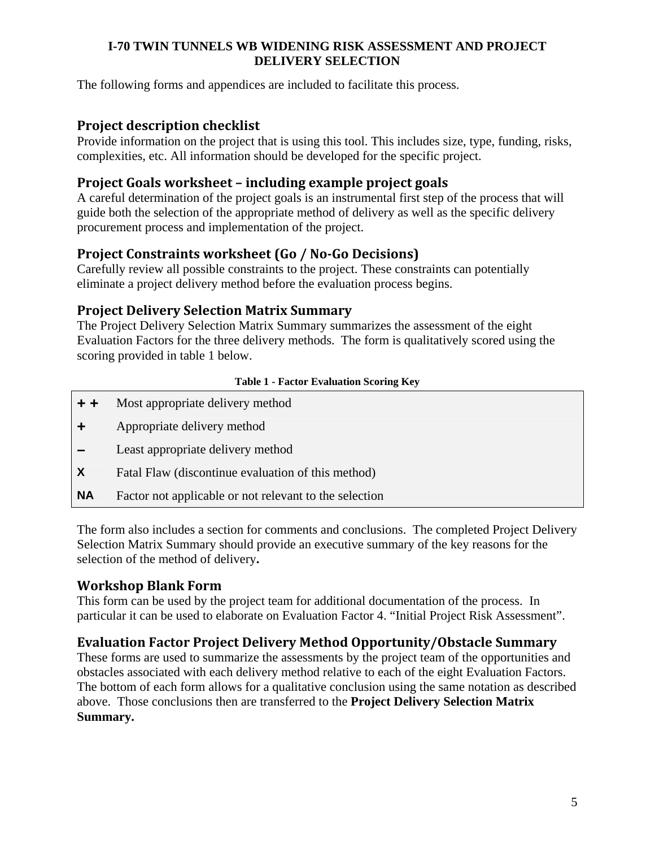The following forms and appendices are included to facilitate this process.

# **Project description checklist**

Provide information on the project that is using this tool. This includes size, type, funding, risks, complexities, etc. All information should be developed for the specific project.

# **Project Goals worksheet – including example project goals**

A careful determination of the project goals is an instrumental first step of the process that will guide both the selection of the appropriate method of delivery as well as the specific delivery procurement process and implementation of the project.

# **Project Constraints worksheet (Go / No‐Go Decisions)**

Carefully review all possible constraints to the project. These constraints can potentially eliminate a project delivery method before the evaluation process begins.

# **Project Delivery Selection Matrix Summary**

The Project Delivery Selection Matrix Summary summarizes the assessment of the eight Evaluation Factors for the three delivery methods. The form is qualitatively scored using the scoring provided in table 1 below.

## **Table 1 - Factor Evaluation Scoring Key**

| $+ +$     | Most appropriate delivery method                       |
|-----------|--------------------------------------------------------|
|           | Appropriate delivery method                            |
|           | Least appropriate delivery method                      |
| X         | Fatal Flaw (discontinue evaluation of this method)     |
| <b>NA</b> | Factor not applicable or not relevant to the selection |
|           |                                                        |

The form also includes a section for comments and conclusions.The completed Project Delivery Selection Matrix Summary should provide an executive summary of the key reasons for the selection of the method of delivery**.** 

# **Workshop Blank Form**

This form can be used by the project team for additional documentation of the process. In particular it can be used to elaborate on Evaluation Factor 4. "Initial Project Risk Assessment".

# **Evaluation Factor Project Delivery Method Opportunity/Obstacle Summary**

These forms are used to summarize the assessments by the project team of the opportunities and obstacles associated with each delivery method relative to each of the eight Evaluation Factors. The bottom of each form allows for a qualitative conclusion using the same notation as described above. Those conclusions then are transferred to the **Project Delivery Selection Matrix Summary.**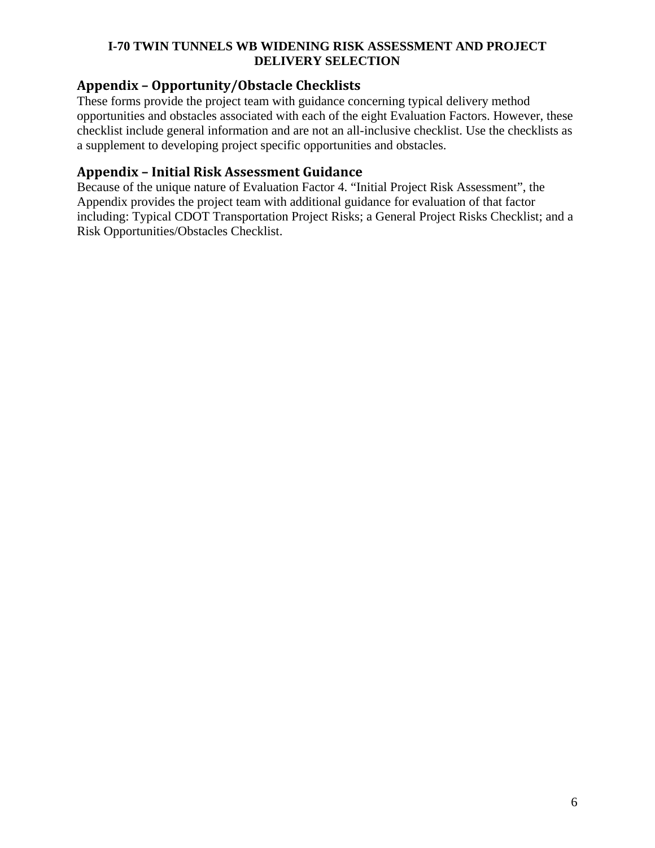# **Appendix – Opportunity/Obstacle Checklists**

These forms provide the project team with guidance concerning typical delivery method opportunities and obstacles associated with each of the eight Evaluation Factors. However, these checklist include general information and are not an all-inclusive checklist. Use the checklists as a supplement to developing project specific opportunities and obstacles.

# **Appendix – Initial Risk Assessment Guidance**

Because of the unique nature of Evaluation Factor 4. "Initial Project Risk Assessment", the Appendix provides the project team with additional guidance for evaluation of that factor including: Typical CDOT Transportation Project Risks; a General Project Risks Checklist; and a Risk Opportunities/Obstacles Checklist.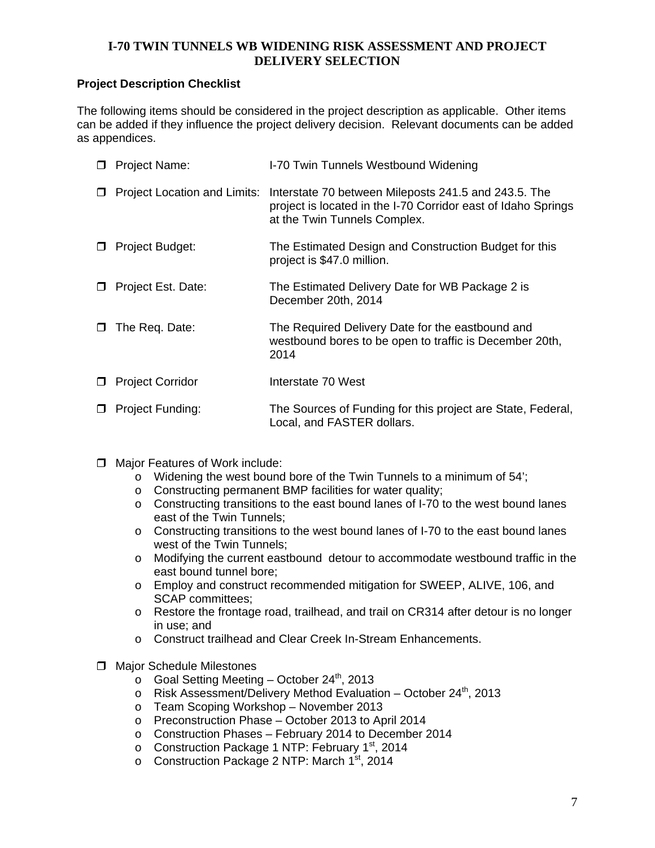## **Project Description Checklist**

The following items should be considered in the project description as applicable. Other items can be added if they influence the project delivery decision. Relevant documents can be added as appendices.

| Project Name:           | I-70 Twin Tunnels Westbound Widening                                                                                                                                               |
|-------------------------|------------------------------------------------------------------------------------------------------------------------------------------------------------------------------------|
|                         | Project Location and Limits: Interstate 70 between Mileposts 241.5 and 243.5. The<br>project is located in the I-70 Corridor east of Idaho Springs<br>at the Twin Tunnels Complex. |
| Project Budget:         | The Estimated Design and Construction Budget for this<br>project is \$47.0 million.                                                                                                |
| Project Est. Date:      | The Estimated Delivery Date for WB Package 2 is<br>December 20th, 2014                                                                                                             |
| The Req. Date:          | The Required Delivery Date for the eastbound and<br>westbound bores to be open to traffic is December 20th,<br>2014                                                                |
| <b>Project Corridor</b> | Interstate 70 West                                                                                                                                                                 |
| Project Funding:        | The Sources of Funding for this project are State, Federal,<br>Local, and FASTER dollars.                                                                                          |

- □ Major Features of Work include:
	- o Widening the west bound bore of the Twin Tunnels to a minimum of 54';
	- o Constructing permanent BMP facilities for water quality;
	- o Constructing transitions to the east bound lanes of I-70 to the west bound lanes east of the Twin Tunnels;
	- o Constructing transitions to the west bound lanes of I-70 to the east bound lanes west of the Twin Tunnels;
	- o Modifying the current eastbound detour to accommodate westbound traffic in the east bound tunnel bore;
	- o Employ and construct recommended mitigation for SWEEP, ALIVE, 106, and SCAP committees;
	- o Restore the frontage road, trailhead, and trail on CR314 after detour is no longer in use; and
	- o Construct trailhead and Clear Creek In-Stream Enhancements.
- $\Box$  Major Schedule Milestones
	- $\circ$  Goal Setting Meeting October 24<sup>th</sup>, 2013
	- o Risk Assessment/Delivery Method Evaluation October 24<sup>th</sup>, 2013
	- o Team Scoping Workshop November 2013
	- o Preconstruction Phase October 2013 to April 2014
	- o Construction Phases February 2014 to December 2014
	- o Construction Package 1 NTP: February 1<sup>st</sup>, 2014
	- o Construction Package 2 NTP: March 1<sup>st</sup>, 2014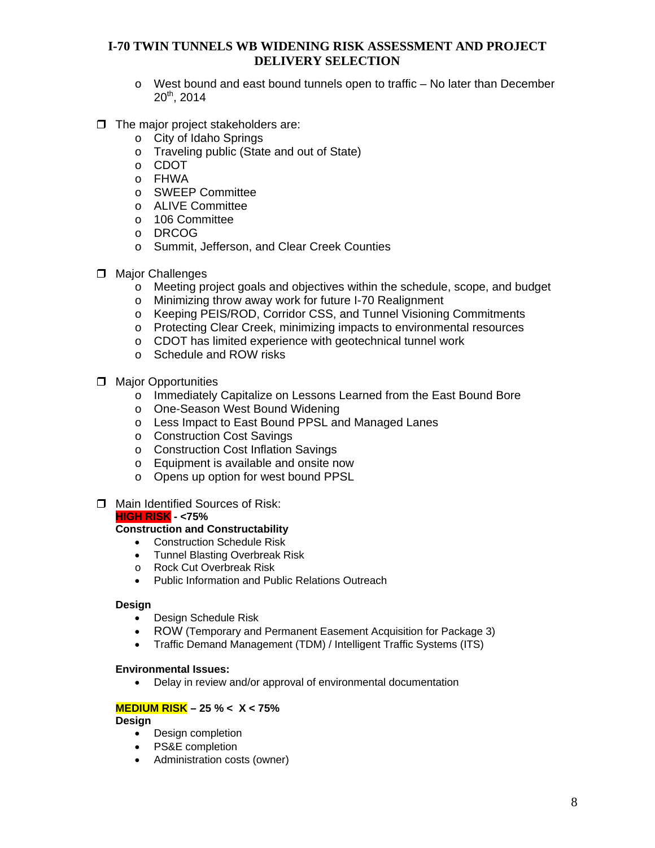- $\circ$  West bound and east bound tunnels open to traffic No later than December  $20^{th}$ , 2014
- $\Box$  The major project stakeholders are:
	- o City of Idaho Springs
	- o Traveling public (State and out of State)
	- o CDOT
	- o FHWA
	- o SWEEP Committee
	- o ALIVE Committee
	- o 106 Committee
	- o DRCOG
	- o Summit, Jefferson, and Clear Creek Counties
- **D** Major Challenges
	- o Meeting project goals and objectives within the schedule, scope, and budget
	- o Minimizing throw away work for future I-70 Realignment
	- o Keeping PEIS/ROD, Corridor CSS, and Tunnel Visioning Commitments
	- o Protecting Clear Creek, minimizing impacts to environmental resources
	- o CDOT has limited experience with geotechnical tunnel work
	- o Schedule and ROW risks
- $\Box$  Major Opportunities
	- o Immediately Capitalize on Lessons Learned from the East Bound Bore
	- o One-Season West Bound Widening
	- o Less Impact to East Bound PPSL and Managed Lanes
	- o Construction Cost Savings
	- o Construction Cost Inflation Savings
	- o Equipment is available and onsite now
	- o Opens up option for west bound PPSL
- **T** Main Identified Sources of Risk:

#### **HIGH RISK - <75%**

#### **Construction and Constructability**

- Construction Schedule Risk
- Tunnel Blasting Overbreak Risk
- o Rock Cut Overbreak Risk
- Public Information and Public Relations Outreach

#### **Design**

- Design Schedule Risk
- ROW (Temporary and Permanent Easement Acquisition for Package 3)
- Traffic Demand Management (TDM) / Intelligent Traffic Systems (ITS)

#### **Environmental Issues:**

Delay in review and/or approval of environmental documentation

#### **MEDIUM RISK – 25 % < X < 75%**

#### **Design**

- Design completion
- PS&E completion
- Administration costs (owner)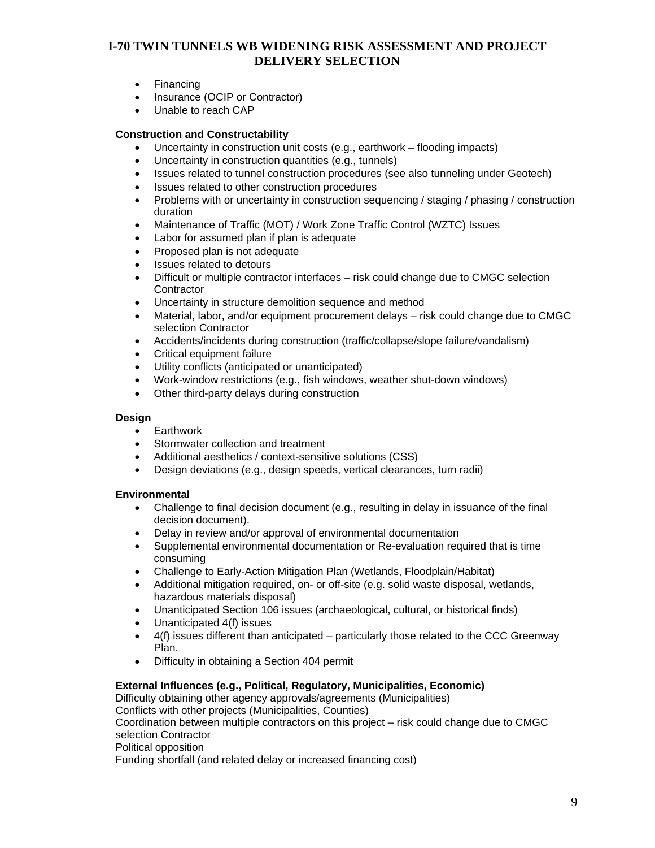- Financing
- Insurance (OCIP or Contractor)
- Unable to reach CAP

#### **Construction and Constructability**

- Uncertainty in construction unit costs (e.g., earthwork flooding impacts)
- Uncertainty in construction quantities (e.g., tunnels)
- Issues related to tunnel construction procedures (see also tunneling under Geotech)
- Issues related to other construction procedures
- Problems with or uncertainty in construction sequencing / staging / phasing / construction duration
- Maintenance of Traffic (MOT) / Work Zone Traffic Control (WZTC) Issues
- Labor for assumed plan if plan is adequate
- Proposed plan is not adequate
- Issues related to detours
- Difficult or multiple contractor interfaces risk could change due to CMGC selection **Contractor**
- Uncertainty in structure demolition sequence and method
- Material, labor, and/or equipment procurement delays risk could change due to CMGC selection Contractor
- Accidents/incidents during construction (traffic/collapse/slope failure/vandalism)
- Critical equipment failure
- Utility conflicts (anticipated or unanticipated)
- Work-window restrictions (e.g., fish windows, weather shut-down windows)
- Other third-party delays during construction

#### **Design**

- **•** Earthwork
- Stormwater collection and treatment
- Additional aesthetics / context-sensitive solutions (CSS)
- Design deviations (e.g., design speeds, vertical clearances, turn radii)

#### **Environmental**

- Challenge to final decision document (e.g., resulting in delay in issuance of the final decision document).
- Delay in review and/or approval of environmental documentation
- Supplemental environmental documentation or Re-evaluation required that is time consuming
- Challenge to Early-Action Mitigation Plan (Wetlands, Floodplain/Habitat)
- Additional mitigation required, on- or off-site (e.g. solid waste disposal, wetlands, hazardous materials disposal)
- Unanticipated Section 106 issues (archaeological, cultural, or historical finds)
- Unanticipated 4(f) issues
- $\bullet$  4(f) issues different than anticipated particularly those related to the CCC Greenway Plan.
- Difficulty in obtaining a Section 404 permit

#### **External Influences (e.g., Political, Regulatory, Municipalities, Economic)**

Difficulty obtaining other agency approvals/agreements (Municipalities)

Conflicts with other projects (Municipalities, Counties)

Coordination between multiple contractors on this project – risk could change due to CMGC selection Contractor

Political opposition

Funding shortfall (and related delay or increased financing cost)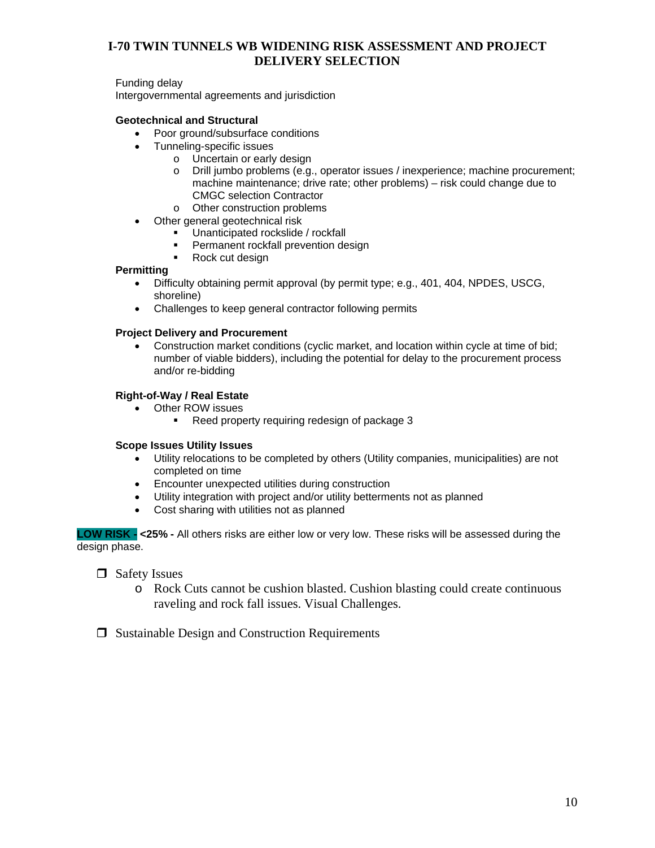Funding delay

Intergovernmental agreements and jurisdiction

#### **Geotechnical and Structural**

- Poor ground/subsurface conditions
- Tunneling-specific issues
	- o Uncertain or early design
		- o Drill jumbo problems (e.g., operator issues / inexperience; machine procurement; machine maintenance; drive rate; other problems) – risk could change due to CMGC selection Contractor
		- o Other construction problems
- Other general geotechnical risk
	- Unanticipated rockslide / rockfall
	- Permanent rockfall prevention design
	- Rock cut design

#### **Permitting**

- Difficulty obtaining permit approval (by permit type; e.g., 401, 404, NPDES, USCG, shoreline)
- Challenges to keep general contractor following permits

#### **Project Delivery and Procurement**

 Construction market conditions (cyclic market, and location within cycle at time of bid; number of viable bidders), including the potential for delay to the procurement process and/or re-bidding

#### **Right-of-Way / Real Estate**

- Other ROW issues
	- Reed property requiring redesign of package 3

#### **Scope Issues Utility Issues**

- Utility relocations to be completed by others (Utility companies, municipalities) are not completed on time
- Encounter unexpected utilities during construction
- Utility integration with project and/or utility betterments not as planned
- Cost sharing with utilities not as planned

**LOW RISK - <25% -** All others risks are either low or very low. These risks will be assessed during the design phase.

□ Safety Issues

- o Rock Cuts cannot be cushion blasted. Cushion blasting could create continuous raveling and rock fall issues. Visual Challenges.
- $\Box$  Sustainable Design and Construction Requirements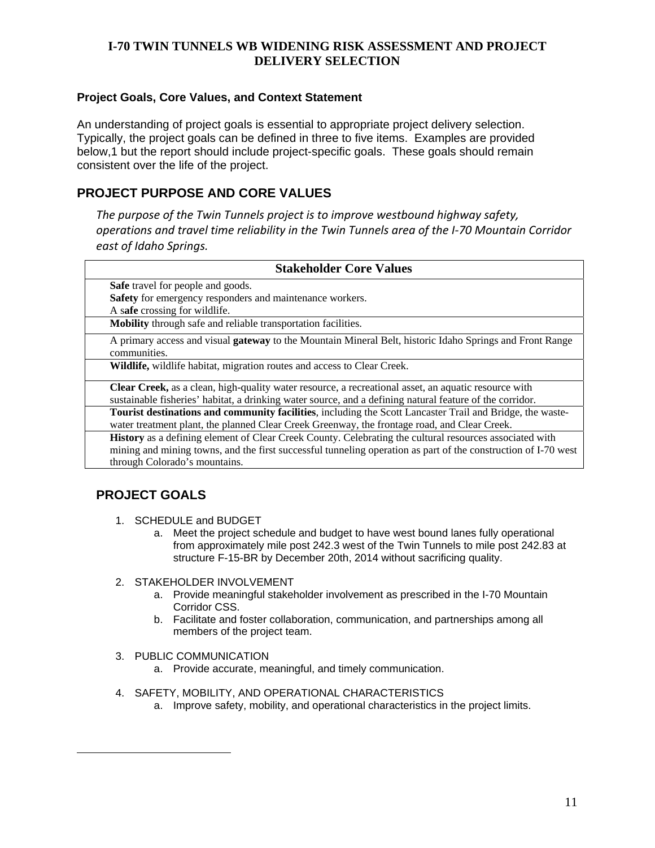## **Project Goals, Core Values, and Context Statement**

An understanding of project goals is essential to appropriate project delivery selection. Typically, the project goals can be defined in three to five items. Examples are provided below,1 but the report should include project-specific goals. These goals should remain consistent over the life of the project.

# **PROJECT PURPOSE AND CORE VALUES**

*The purpose of the Twin Tunnels project is to improve westbound highway safety, operations and travel time reliability in the Twin Tunnels area of the I‐70 Mountain Corridor east of Idaho Springs.*

| <b>Stakeholder Core Values</b>                                                                                  |
|-----------------------------------------------------------------------------------------------------------------|
| Safe travel for people and goods.                                                                               |
| Safety for emergency responders and maintenance workers.                                                        |
| A safe crossing for wildlife.                                                                                   |
| Mobility through safe and reliable transportation facilities.                                                   |
| A primary access and visual <b>gateway</b> to the Mountain Mineral Belt, historic Idaho Springs and Front Range |
| communities.                                                                                                    |
| Wildlife, wildlife habitat, migration routes and access to Clear Creek.                                         |
| Clear Creek, as a clean, high-quality water resource, a recreational asset, an aquatic resource with            |
| sustainable fisheries' habitat, a drinking water source, and a defining natural feature of the corridor.        |
| Tourist destinations and community facilities, including the Scott Lancaster Trail and Bridge, the waste-       |
| water treatment plant, the planned Clear Creek Greenway, the frontage road, and Clear Creek.                    |
| <b>History</b> as a defining element of Clear Creek County. Celebrating the cultural resources associated with  |
| mining and mining towns, and the first successful tunneling operation as part of the construction of I-70 west  |
| through Colorado's mountains.                                                                                   |

# **PROJECT GOALS**

 $\overline{a}$ 

- 1. SCHEDULE and BUDGET
	- a. Meet the project schedule and budget to have west bound lanes fully operational from approximately mile post 242.3 west of the Twin Tunnels to mile post 242.83 at structure F-15-BR by December 20th, 2014 without sacrificing quality.
- 2. STAKEHOLDER INVOLVEMENT
	- a. Provide meaningful stakeholder involvement as prescribed in the I-70 Mountain Corridor CSS.
	- b. Facilitate and foster collaboration, communication, and partnerships among all members of the project team.
- 3. PUBLIC COMMUNICATION
	- a. Provide accurate, meaningful, and timely communication.
- 4. SAFETY, MOBILITY, AND OPERATIONAL CHARACTERISTICS
	- a. Improve safety, mobility, and operational characteristics in the project limits.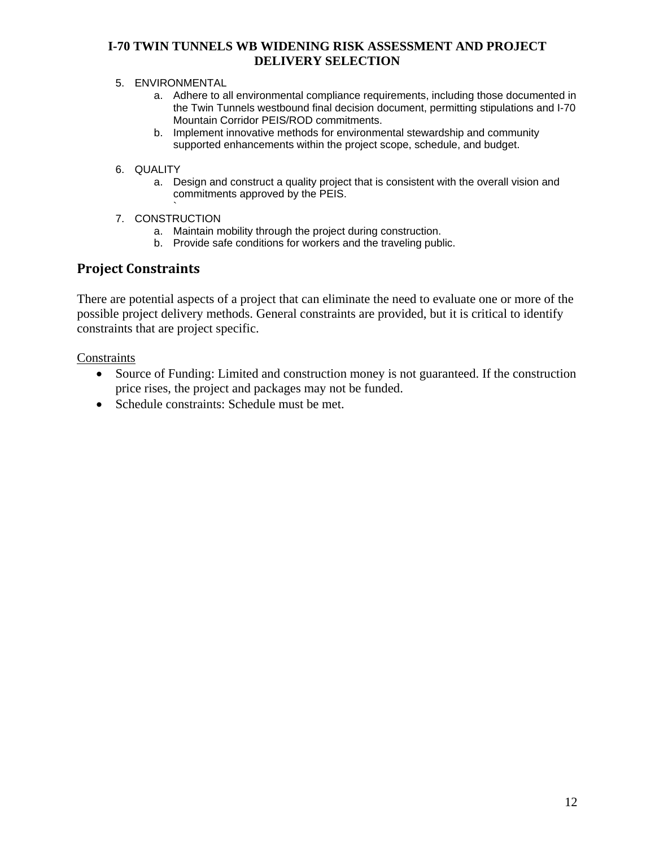#### 5. ENVIRONMENTAL

- a. Adhere to all environmental compliance requirements, including those documented in the Twin Tunnels westbound final decision document, permitting stipulations and I-70 Mountain Corridor PEIS/ROD commitments.
- b. Implement innovative methods for environmental stewardship and community supported enhancements within the project scope, schedule, and budget.

#### 6. QUALITY

- a. Design and construct a quality project that is consistent with the overall vision and commitments approved by the PEIS.
- ` 7. CONSTRUCTION
	- a. Maintain mobility through the project during construction.
	- b. Provide safe conditions for workers and the traveling public.

# **Project Constraints**

There are potential aspects of a project that can eliminate the need to evaluate one or more of the possible project delivery methods. General constraints are provided, but it is critical to identify constraints that are project specific.

#### **Constraints**

- Source of Funding: Limited and construction money is not guaranteed. If the construction price rises, the project and packages may not be funded.
- Schedule constraints: Schedule must be met.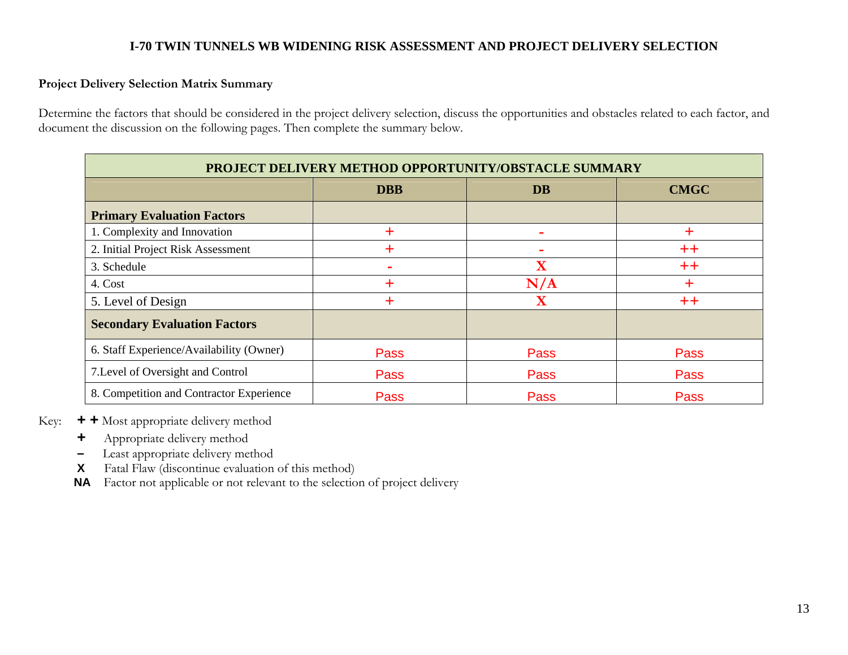## **Project Delivery Selection Matrix Summary**

Determine the factors that should be considered in the project delivery selection, discuss the opportunities and obstacles related to each factor, and document the discussion on the following pages. Then complete the summary below.

| PROJECT DELIVERY METHOD OPPORTUNITY/OBSTACLE SUMMARY |             |                         |             |
|------------------------------------------------------|-------------|-------------------------|-------------|
|                                                      | <b>DBB</b>  | <b>DB</b>               | <b>CMGC</b> |
| <b>Primary Evaluation Factors</b>                    |             |                         |             |
| 1. Complexity and Innovation                         | ┿           |                         | ÷           |
| 2. Initial Project Risk Assessment                   | ┿           | ۰                       | $++$        |
| 3. Schedule                                          |             | $\overline{\mathbf{X}}$ | $++$        |
| 4. Cost                                              | ┿           | N/A                     | $\pm$       |
| 5. Level of Design                                   | ┿           | $\mathbf X$             | $++$        |
| <b>Secondary Evaluation Factors</b>                  |             |                         |             |
| 6. Staff Experience/Availability (Owner)             | <b>Pass</b> | Pass                    | Pass        |
| 7. Level of Oversight and Control                    | <b>Pass</b> | Pass                    | Pass        |
| 8. Competition and Contractor Experience             | Pass        | Pass                    | Pass        |

Key: **+ +** Most appropriate delivery method

- **<sup>+</sup>**Appropriate delivery method
- Least appropriate delivery method
- **X**Fatal Flaw (discontinue evaluation of this method)
- **NA** Factor not applicable or not relevant to the selection of project delivery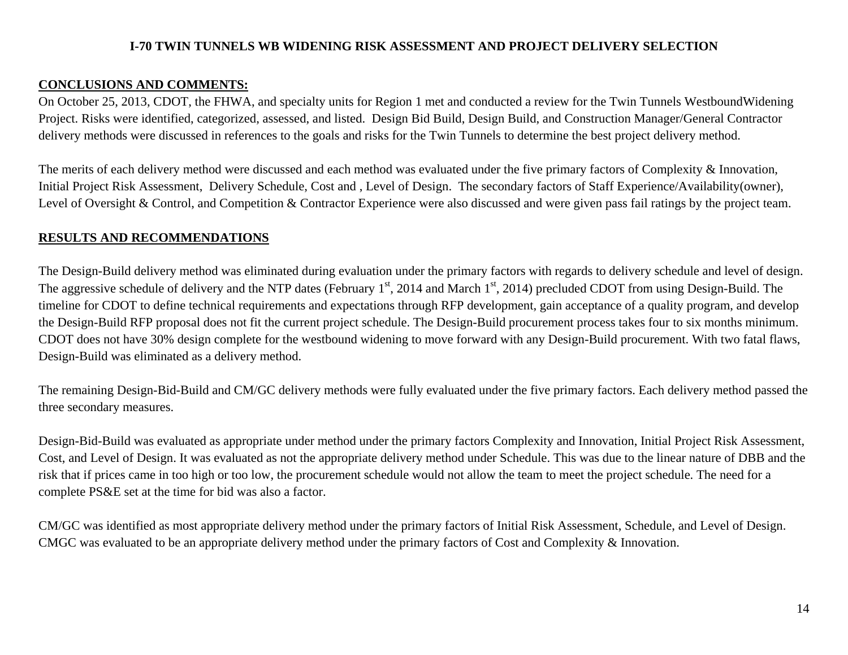# **CONCLUSIONS AND COMMENTS:**

On October 25, 2013, CDOT, the FHWA, and specialty units for Region 1 met and conducted a review for the Twin Tunnels WestboundWidening Project. Risks were identified, categorized, assessed, and listed. Design Bid Build, Design Build, and Construction Manager/General Contractor delivery methods were discussed in references to the goals and risks for the Twin Tunnels to determine the best project delivery method.

The merits of each delivery method were discussed and each method was evaluated under the five primary factors of Complexity & Innovation, Initial Project Risk Assessment, Delivery Schedule, Cost and , Level of Design. The secondary factors of Staff Experience/Availability(owner), Level of Oversight & Control, and Competition & Contractor Experience were also discussed and were given pass fail ratings by the project team.

# **RESULTS AND RECOMMENDATIONS**

The Design-Build delivery method was eliminated during evaluation under the primary factors with regards to delivery schedule and level of design. The aggressive schedule of delivery and the NTP dates (February 1<sup>st</sup>, 2014 and March 1<sup>st</sup>, 2014) precluded CDOT from using Design-Build. The timeline for CDOT to define technical requirements and expectations through RFP development, gain acceptance of a quality program, and develop the Design-Build RFP proposal does not fit the current project schedule. The Design-Build procurement process takes four to six months minimum. CDOT does not have 30% design complete for the westbound widening to move forward with any Design-Build procurement. With two fatal flaws, Design-Build was eliminated as a delivery method.

The remaining Design-Bid-Build and CM/GC delivery methods were fully evaluated under the five primary factors. Each delivery method passed the three secondary measures.

Design-Bid-Build was evaluated as appropriate under method under the primary factors Complexity and Innovation, Initial Project Risk Assessment, Cost, and Level of Design. It was evaluated as not the appropriate delivery method under Schedule. This was due to the linear nature of DBB and the risk that if prices came in too high or too low, the procurement schedule would not allow the team to meet the project schedule. The need for a complete PS&E set at the time for bid was also a factor.

CM/GC was identified as most appropriate delivery method under the primary factors of Initial Risk Assessment, Schedule, and Level of Design. CMGC was evaluated to be an appropriate delivery method under the primary factors of Cost and Complexity & Innovation.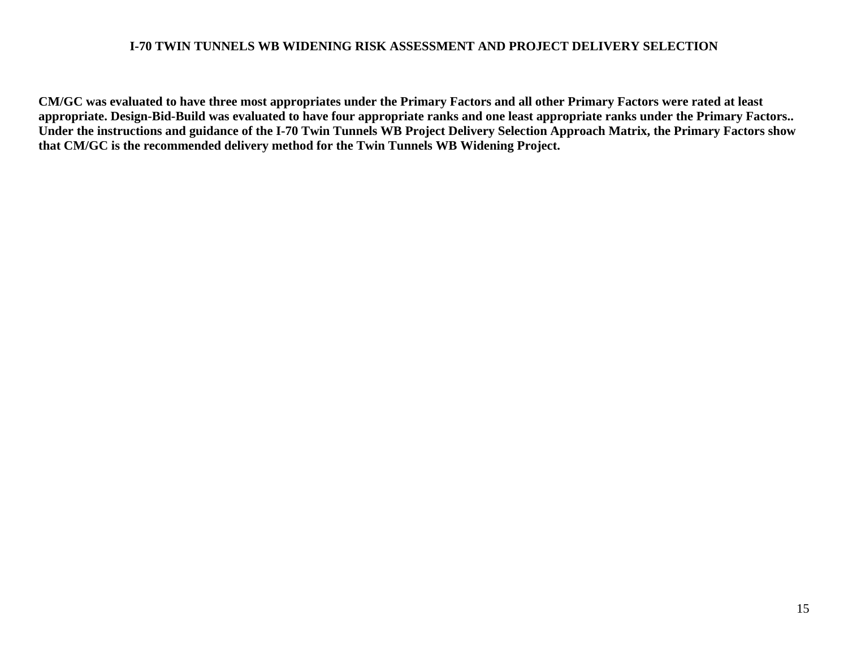**CM/GC was evaluated to have three most appropriates under the Primary Factors and all other Primary Factors were rated at least appropriate. Design-Bid-Build was evaluated to have four appropriate ranks and one least appropriate ranks under the Primary Factors.. Under the instructions and guidance of the I-70 Twin Tunnels WB Project Delivery Selection Approach Matrix, the Primary Factors show that CM/GC is the recommended delivery method for the Twin Tunnels WB Widening Project.**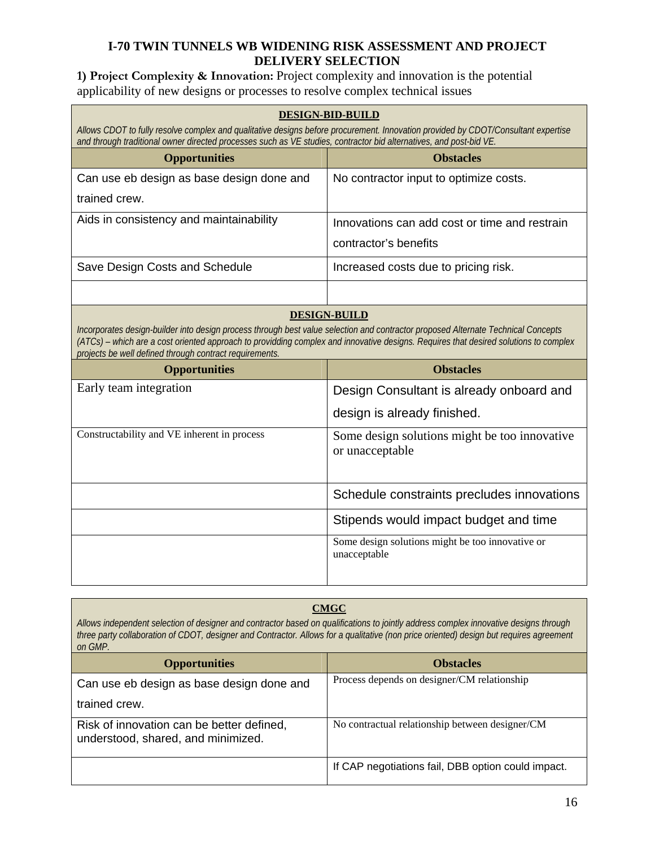**1) Project Complexity & Innovation:** Project complexity and innovation is the potential applicability of new designs or processes to resolve complex technical issues

| <b>DESIGN-BID-BUILD</b><br>Allows CDOT to fully resolve complex and qualitative designs before procurement. Innovation provided by CDOT/Consultant expertise<br>and through traditional owner directed processes such as VE studies, contractor bid alternatives, and post-bid VE.                                                                          |                                                                  |  |  |
|-------------------------------------------------------------------------------------------------------------------------------------------------------------------------------------------------------------------------------------------------------------------------------------------------------------------------------------------------------------|------------------------------------------------------------------|--|--|
| <b>Opportunities</b>                                                                                                                                                                                                                                                                                                                                        | <b>Obstacles</b>                                                 |  |  |
| Can use eb design as base design done and                                                                                                                                                                                                                                                                                                                   | No contractor input to optimize costs.                           |  |  |
| trained crew.                                                                                                                                                                                                                                                                                                                                               |                                                                  |  |  |
| Aids in consistency and maintainability                                                                                                                                                                                                                                                                                                                     | Innovations can add cost or time and restrain                    |  |  |
|                                                                                                                                                                                                                                                                                                                                                             | contractor's benefits                                            |  |  |
| Save Design Costs and Schedule                                                                                                                                                                                                                                                                                                                              | Increased costs due to pricing risk.                             |  |  |
|                                                                                                                                                                                                                                                                                                                                                             |                                                                  |  |  |
| <b>DESIGN-BUILD</b><br>Incorporates design-builder into design process through best value selection and contractor proposed Alternate Technical Concepts<br>(ATCs) - which are a cost oriented approach to providding complex and innovative designs. Requires that desired solutions to complex<br>projects be well defined through contract requirements. |                                                                  |  |  |
| <b>Opportunities</b>                                                                                                                                                                                                                                                                                                                                        | <b>Obstacles</b>                                                 |  |  |
| Early team integration                                                                                                                                                                                                                                                                                                                                      | Design Consultant is already onboard and                         |  |  |
|                                                                                                                                                                                                                                                                                                                                                             | design is already finished.                                      |  |  |
| Constructability and VE inherent in process                                                                                                                                                                                                                                                                                                                 | Some design solutions might be too innovative<br>or unacceptable |  |  |
|                                                                                                                                                                                                                                                                                                                                                             | Schedule constraints precludes innovations                       |  |  |
|                                                                                                                                                                                                                                                                                                                                                             | Stipends would impact budget and time                            |  |  |
|                                                                                                                                                                                                                                                                                                                                                             | Some design solutions might be too innovative or<br>unacceptable |  |  |

## **CMGC**

*Allows independent selection of designer and contractor based on qualifications to jointly address complex innovative designs through three party collaboration of CDOT, designer and Contractor. Allows for a qualitative (non price oriented) design but requires agreement on GMP.*

| <b>Opportunities</b>                                                            | <b>Obstacles</b>                                   |
|---------------------------------------------------------------------------------|----------------------------------------------------|
| Can use eb design as base design done and                                       | Process depends on designer/CM relationship        |
| trained crew.                                                                   |                                                    |
| Risk of innovation can be better defined,<br>understood, shared, and minimized. | No contractual relationship between designer/CM    |
|                                                                                 | If CAP negotiations fail, DBB option could impact. |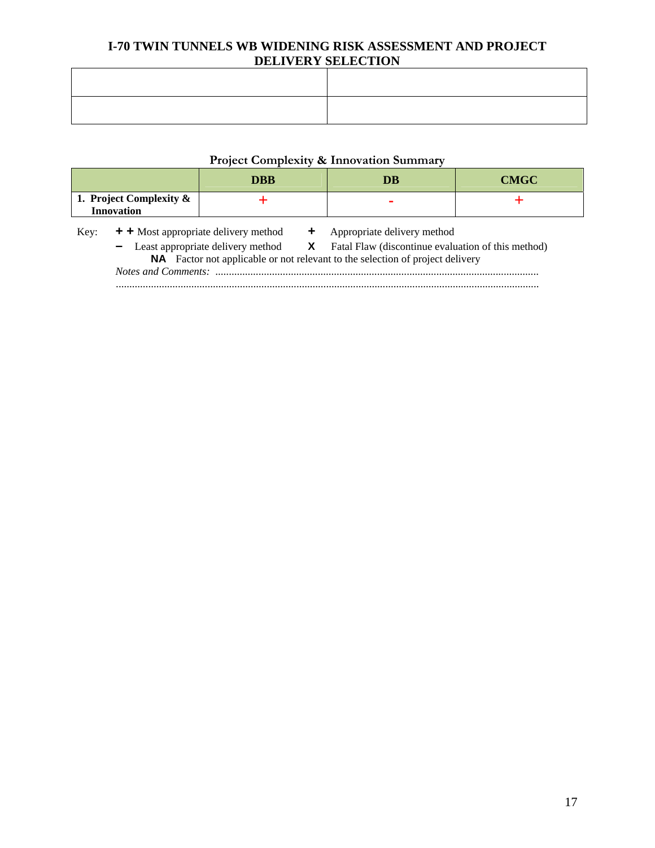# **Project Complexity & Innovation Summary**

|                                              |                                                                                                                                                                                                                                                        | DBB | DB                          | <b>CMGC</b> |
|----------------------------------------------|--------------------------------------------------------------------------------------------------------------------------------------------------------------------------------------------------------------------------------------------------------|-----|-----------------------------|-------------|
| 1. Project Complexity &<br><b>Innovation</b> |                                                                                                                                                                                                                                                        |     |                             |             |
| Key:                                         | + + Most appropriate delivery method<br>- Least appropriate delivery method <b>X</b> Fatal Flaw (discontinue evaluation of this method)<br><b>NA</b> Factor not applicable or not relevant to the selection of project delivery<br>Notes and Comments: |     | Appropriate delivery method |             |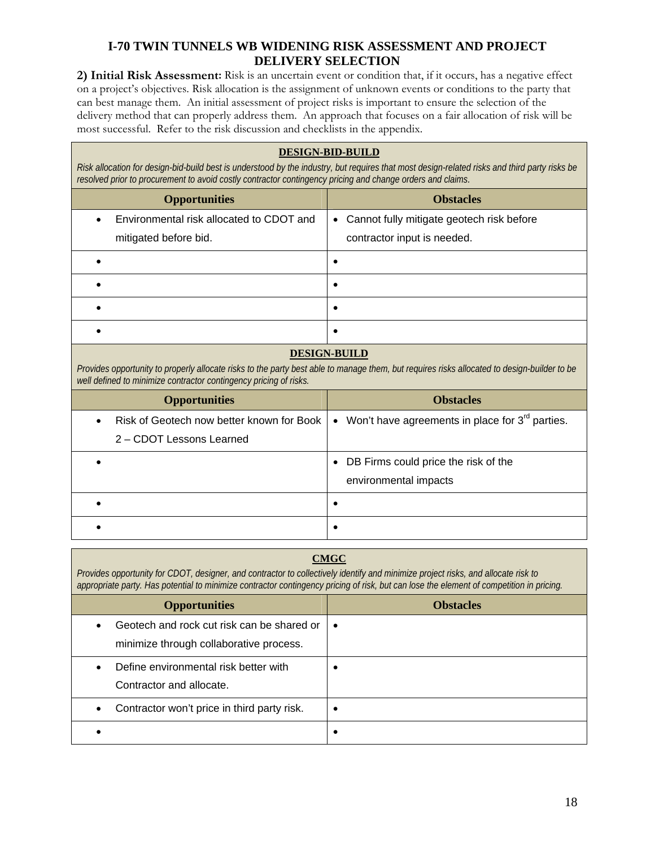**2) Initial Risk Assessment:** Risk is an uncertain event or condition that, if it occurs, has a negative effect on a project's objectives. Risk allocation is the assignment of unknown events or conditions to the party that can best manage them. An initial assessment of project risks is important to ensure the selection of the delivery method that can properly address them. An approach that focuses on a fair allocation of risk will be most successful. Refer to the risk discussion and checklists in the appendix.

#### **DESIGN-BID-BUILD**

*Risk allocation for design-bid-build best is understood by the industry, but requires that most design-related risks and third party risks be resolved prior to procurement to avoid costly contractor contingency pricing and change orders and claims.*

| <b>Opportunities</b>                                                           | <b>Obstacles</b>                                                           |
|--------------------------------------------------------------------------------|----------------------------------------------------------------------------|
| Environmental risk allocated to CDOT and<br>$\bullet$<br>mitigated before bid. | • Cannot fully mitigate geotech risk before<br>contractor input is needed. |
|                                                                                | ٠                                                                          |
|                                                                                |                                                                            |
|                                                                                |                                                                            |
|                                                                                |                                                                            |

#### **DESIGN-BUILD**

*Provides opportunity to properly allocate risks to the party best able to manage them, but requires risks allocated to design-builder to be well defined to minimize contractor contingency pricing of risks.*

| <b>Opportunities</b>                                                               | <b>Obstacles</b>                                                |
|------------------------------------------------------------------------------------|-----------------------------------------------------------------|
| Risk of Geotech now better known for Book<br>$\bullet$<br>2 - CDOT Lessons Learned | • Won't have agreements in place for $3rd$ parties.             |
|                                                                                    | • DB Firms could price the risk of the<br>environmental impacts |
|                                                                                    |                                                                 |
|                                                                                    |                                                                 |

#### **CMGC**

*Provides opportunity for CDOT, designer, and contractor to collectively identify and minimize project risks, and allocate risk to appropriate party. Has potential to minimize contractor contingency pricing of risk, but can lose the element of competition in pricing.*

| <b>Opportunities</b>                                                                               | <b>Obstacles</b> |
|----------------------------------------------------------------------------------------------------|------------------|
| Geotech and rock cut risk can be shared or<br>$\bullet$<br>minimize through collaborative process. |                  |
| Define environmental risk better with<br>$\bullet$<br>Contractor and allocate.                     |                  |
| Contractor won't price in third party risk.<br>$\bullet$                                           |                  |
|                                                                                                    | ٠                |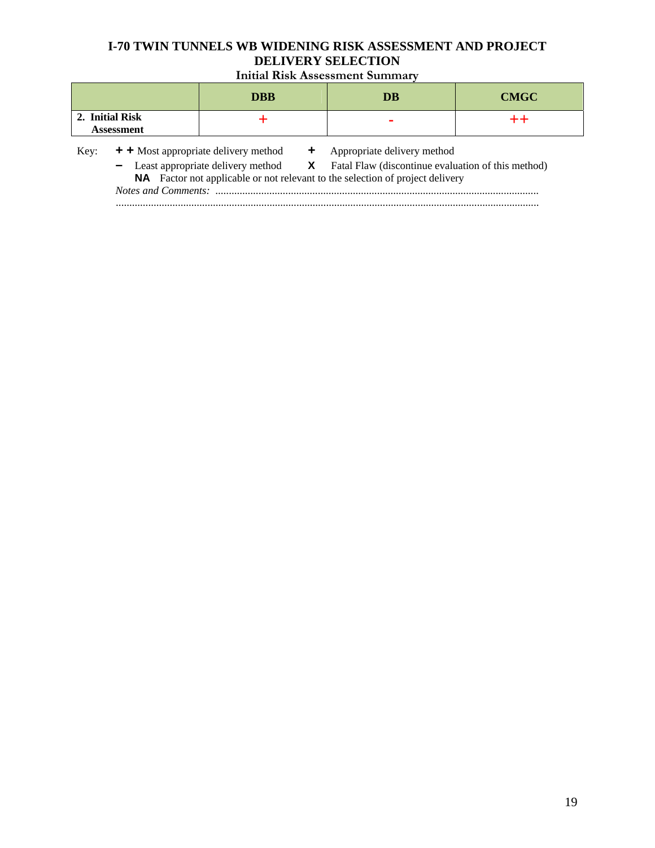**Initial Risk Assessment Summary** 

|                                      |                                                                                                                                                                                                                                   | DRR | DB                          | <b>CMGC</b> |
|--------------------------------------|-----------------------------------------------------------------------------------------------------------------------------------------------------------------------------------------------------------------------------------|-----|-----------------------------|-------------|
| 2. Initial Risk<br><b>Assessment</b> |                                                                                                                                                                                                                                   |     |                             |             |
| Key:                                 | $+$ + Most appropriate delivery method<br>- Least appropriate delivery method <b>X</b> Fatal Flaw (discontinue evaluation of this method)<br><b>NA</b> Factor not applicable or not relevant to the selection of project delivery |     | Appropriate delivery method |             |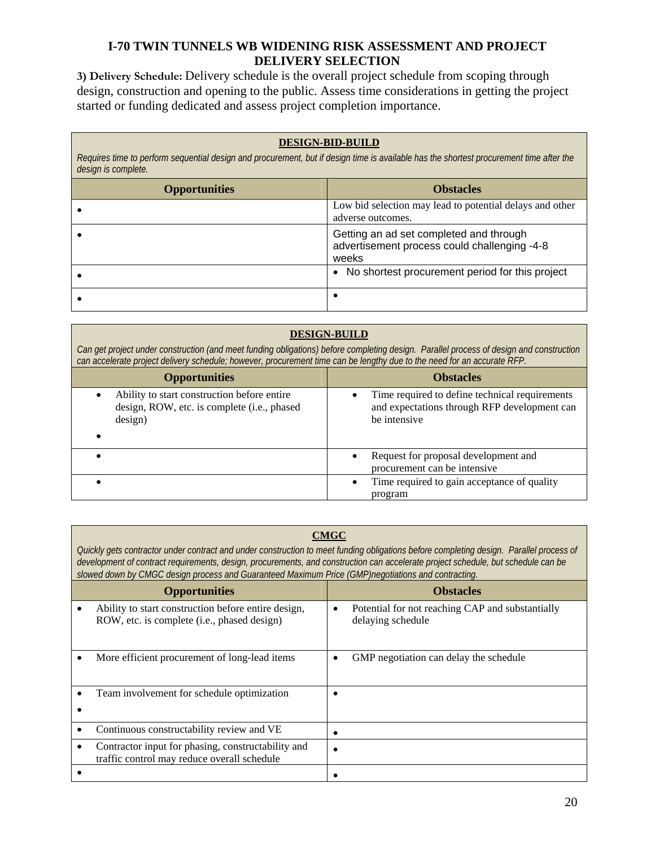**3) Delivery Schedule:** Delivery schedule is the overall project schedule from scoping through design, construction and opening to the public. Assess time considerations in getting the project started or funding dedicated and assess project completion importance.

## **DESIGN-BID-BUILD**

*Requires time to perform sequential design and procurement, but if design time is available has the shortest procurement time after the design is complete.*

| <b>Opportunities</b> | <b>Obstacles</b>                                                                                 |
|----------------------|--------------------------------------------------------------------------------------------------|
|                      | Low bid selection may lead to potential delays and other<br>adverse outcomes.                    |
|                      | Getting an ad set completed and through<br>advertisement process could challenging -4-8<br>weeks |
|                      | • No shortest procurement period for this project                                                |
|                      |                                                                                                  |

## **DESIGN-BUILD**

*Can get project under construction (and meet funding obligations) before completing design. Parallel process of design and construction can accelerate project delivery schedule; however, procurement time can be lengthy due to the need for an accurate RFP.* 

| <b>Opportunities</b>                                                                                  | <b>Obstacles</b>                                                                                               |
|-------------------------------------------------------------------------------------------------------|----------------------------------------------------------------------------------------------------------------|
| Ability to start construction before entire<br>design, ROW, etc. is complete (i.e., phased<br>design) | Time required to define technical requirements<br>and expectations through RFP development can<br>be intensive |
|                                                                                                       | Request for proposal development and<br>procurement can be intensive                                           |
|                                                                                                       | Time required to gain acceptance of quality<br>program                                                         |

## **CMGC**

*Quickly gets contractor under contract and under construction to meet funding obligations before completing design. Parallel process of development of contract requirements, design, procurements, and construction can accelerate project schedule, but schedule can be slowed down by CMGC design process and Guaranteed Maximum Price (GMP)negotiations and contracting.* 

| <b>Opportunities</b>                                                                                            | <b>Obstacles</b>                                                                   |
|-----------------------------------------------------------------------------------------------------------------|------------------------------------------------------------------------------------|
| Ability to start construction before entire design,<br>$\bullet$<br>ROW, etc. is complete (i.e., phased design) | Potential for not reaching CAP and substantially<br>$\bullet$<br>delaying schedule |
| More efficient procurement of long-lead items<br>٠                                                              | GMP negotiation can delay the schedule<br>٠                                        |
| Team involvement for schedule optimization<br>$\bullet$                                                         | ٠                                                                                  |
| Continuous constructability review and VE<br>$\bullet$                                                          | ٠                                                                                  |
| Contractor input for phasing, constructability and<br>$\bullet$<br>traffic control may reduce overall schedule  |                                                                                    |
|                                                                                                                 |                                                                                    |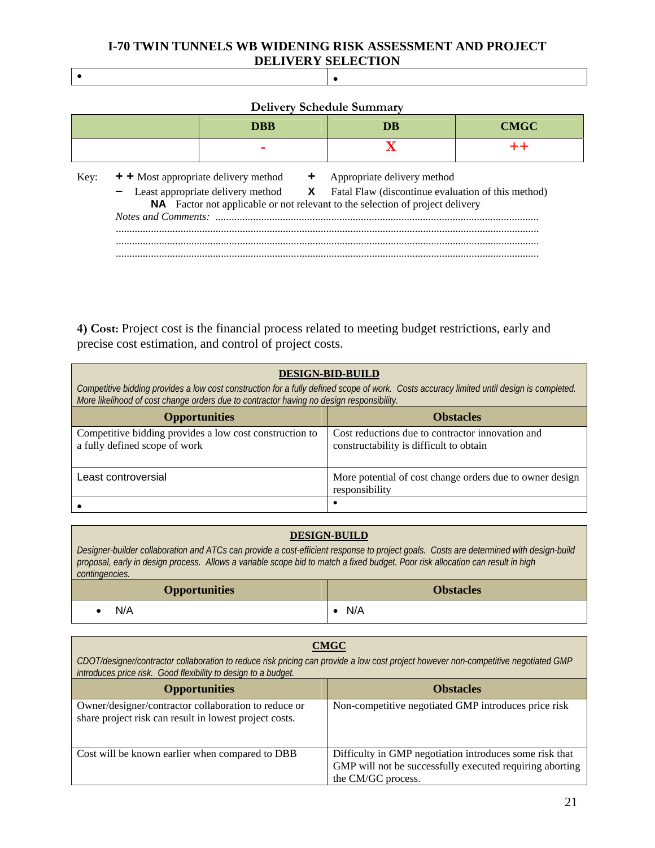$\bullet$  . The contract of the contract of the contract of the contract of the contract of the contract of the contract of the contract of the contract of the contract of the contract of the contract of the contract of the co

|      | <b>Delivery Schedule Summary</b> |                                      |     |                             |             |
|------|----------------------------------|--------------------------------------|-----|-----------------------------|-------------|
|      |                                  | <b>DBB</b>                           |     | DB                          | <b>CMGC</b> |
|      |                                  |                                      |     |                             |             |
| Key: |                                  | + + Most appropriate delivery method | $+$ | Appropriate delivery method |             |

|  | - Least appropriate delivery method <b>X</b> Fatal Flaw (discontinue evaluation of this method) |
|--|-------------------------------------------------------------------------------------------------|
|  | <b>NA</b> Factor not applicable or not relevant to the selection of project delivery            |
|  |                                                                                                 |
|  |                                                                                                 |
|  |                                                                                                 |
|  |                                                                                                 |

**4) Cost:** Project cost is the financial process related to meeting budget restrictions, early and precise cost estimation, and control of project costs.

| <b>DESIGN-BID-BUILD</b><br>Competitive bidding provides a low cost construction for a fully defined scope of work. Costs accuracy limited until design is completed.<br>More likelihood of cost change orders due to contractor having no design responsibility. |                                                                                             |  |  |
|------------------------------------------------------------------------------------------------------------------------------------------------------------------------------------------------------------------------------------------------------------------|---------------------------------------------------------------------------------------------|--|--|
| <b>Opportunities</b><br><b>Obstacles</b>                                                                                                                                                                                                                         |                                                                                             |  |  |
| Competitive bidding provides a low cost construction to<br>a fully defined scope of work                                                                                                                                                                         | Cost reductions due to contractor innovation and<br>constructability is difficult to obtain |  |  |
| Least controversial                                                                                                                                                                                                                                              | More potential of cost change orders due to owner design<br>responsibility                  |  |  |
|                                                                                                                                                                                                                                                                  |                                                                                             |  |  |

#### **DESIGN-BUILD**

*Designer-builder collaboration and ATCs can provide a cost-efficient response to project goals. Costs are determined with design-build proposal, early in design process. Allows a variable scope bid to match a fixed budget. Poor risk allocation can result in high contingencies.*

| <b>Opportunities</b> | <b>Obstacles</b> |
|----------------------|------------------|
| N/A                  | N/A              |

#### **CMGC**

*CDOT/designer/contractor collaboration to reduce risk pricing can provide a low cost project however non-competitive negotiated GMP introduces price risk. Good flexibility to design to a budget.*

| <b>Opportunities</b>                                                                                           | <b>Obstacles</b>                                                                                                                          |
|----------------------------------------------------------------------------------------------------------------|-------------------------------------------------------------------------------------------------------------------------------------------|
| Owner/designer/contractor collaboration to reduce or<br>share project risk can result in lowest project costs. | Non-competitive negotiated GMP introduces price risk                                                                                      |
| Cost will be known earlier when compared to DBB                                                                | Difficulty in GMP negotiation introduces some risk that<br>GMP will not be successfully executed requiring aborting<br>the CM/GC process. |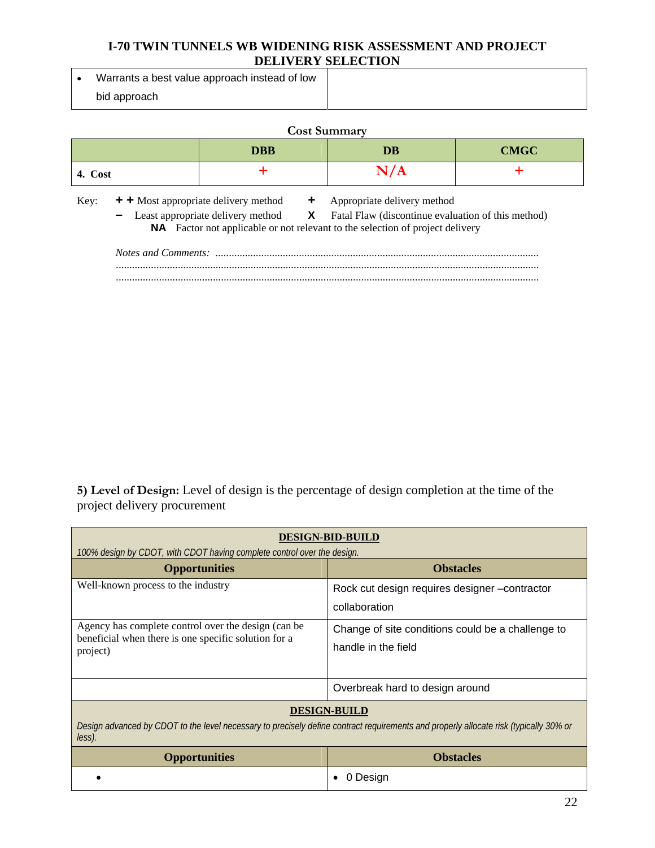Warrants a best value approach instead of low bid approach

| <b>Cost Summary</b>                                                                                                                                               |            |     |                                                                                                                                |  |
|-------------------------------------------------------------------------------------------------------------------------------------------------------------------|------------|-----|--------------------------------------------------------------------------------------------------------------------------------|--|
|                                                                                                                                                                   | <b>DBB</b> | DB  | <b>CMGC</b>                                                                                                                    |  |
| 4. Cost                                                                                                                                                           |            | N/A |                                                                                                                                |  |
| $+$ + Most appropriate delivery method $+$<br>Key:<br><b>NA</b> Factor not applicable or not relevant to the selection of project delivery<br>Notes and Comments: |            |     | Appropriate delivery method<br>- Least appropriate delivery method <b>X</b> Fatal Flaw (discontinue evaluation of this method) |  |

.............................................................................................................................................................

**5) Level of Design:** Level of design is the percentage of design completion at the time of the project delivery procurement

| <b>DESIGN-BID-BUILD</b>                                                                                                                                                |                                                                          |  |
|------------------------------------------------------------------------------------------------------------------------------------------------------------------------|--------------------------------------------------------------------------|--|
| 100% design by CDOT, with CDOT having complete control over the design.<br><b>Opportunities</b>                                                                        | <b>Obstacles</b>                                                         |  |
| Well-known process to the industry                                                                                                                                     | Rock cut design requires designer -contractor<br>collaboration           |  |
| Agency has complete control over the design (can be<br>beneficial when there is one specific solution for a<br>project)                                                | Change of site conditions could be a challenge to<br>handle in the field |  |
|                                                                                                                                                                        | Overbreak hard to design around                                          |  |
| <b>DESIGN-BUILD</b><br>Design advanced by CDOT to the level necessary to precisely define contract requirements and properly allocate risk (typically 30% or<br>less). |                                                                          |  |
| <b>Opportunities</b>                                                                                                                                                   | <b>Obstacles</b>                                                         |  |
|                                                                                                                                                                        | Desian                                                                   |  |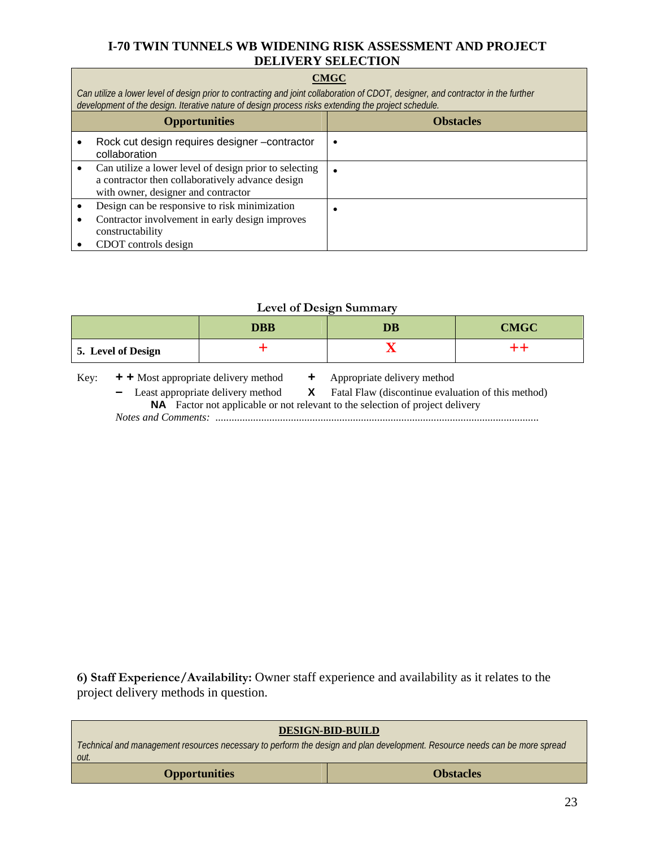## **CMGC**

*Can utilize a lower level of design prior to contracting and joint collaboration of CDOT, designer, and contractor in the further development of the design. Iterative nature of design process risks extending the project schedule.* 

| <b>Opportunities</b>                                                                                                                              | <b>Obstacles</b> |
|---------------------------------------------------------------------------------------------------------------------------------------------------|------------------|
| Rock cut design requires designer -contractor<br>collaboration                                                                                    |                  |
| Can utilize a lower level of design prior to selecting<br>a contractor then collaboratively advance design<br>with owner, designer and contractor |                  |
| Design can be responsive to risk minimization<br>Contractor involvement in early design improves<br>constructability<br>CDOT controls design      |                  |

#### **Level of Design Summary**

|                    | <b>DBB</b> | $\overline{\mathbf{D}}\overline{\mathbf{B}}$ | <b>CMGC</b> |
|--------------------|------------|----------------------------------------------|-------------|
| 5. Level of Design |            |                                              |             |

| Key: | + + Most appropriate delivery method |  | Appropriate delivery method |
|------|--------------------------------------|--|-----------------------------|
|------|--------------------------------------|--|-----------------------------|

**–** Least appropriate delivery method **X** Fatal Flaw (discontinue evaluation of this method)

**NA** Factor not applicable or not relevant to the selection of project delivery

*Notes and Comments: ........................................................................................................................* 

**6) Staff Experience/Availability:** Owner staff experience and availability as it relates to the project delivery methods in question.

| <b>DESIGN-BID-BUILD</b><br>Technical and management resources necessary to perform the design and plan development. Resource needs can be more spread<br>out. |  |  |
|---------------------------------------------------------------------------------------------------------------------------------------------------------------|--|--|
| <b>Obstacles</b><br><b>Opportunities</b>                                                                                                                      |  |  |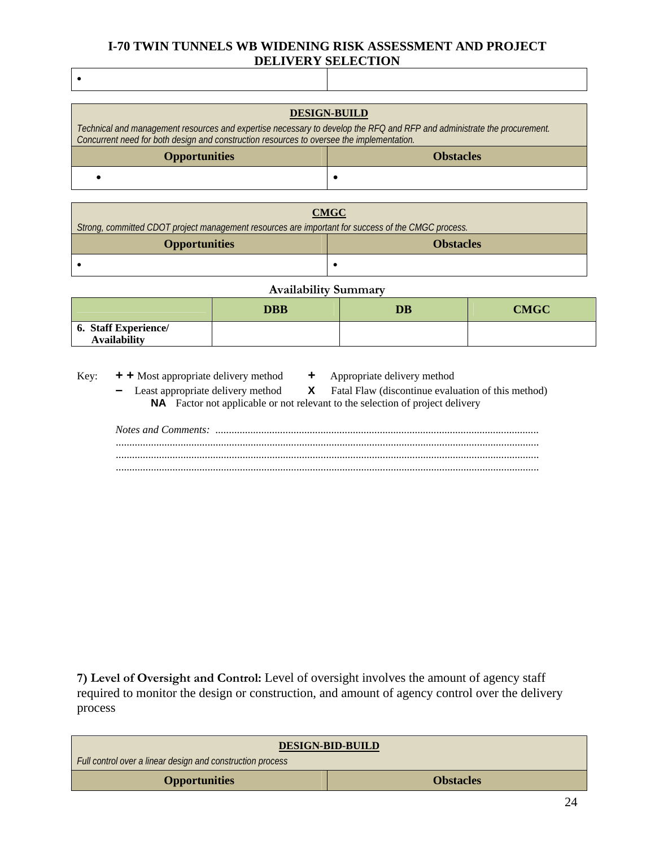| <b>DESIGN-BUILD</b>                                                                                                                                                                                                  |                  |  |
|----------------------------------------------------------------------------------------------------------------------------------------------------------------------------------------------------------------------|------------------|--|
| Technical and management resources and expertise necessary to develop the RFQ and RFP and administrate the procurement.<br>Concurrent need for both design and construction resources to oversee the implementation. |                  |  |
| <b>Opportunities</b>                                                                                                                                                                                                 | <b>Obstacles</b> |  |
|                                                                                                                                                                                                                      |                  |  |

| <b>CMGC</b>                                                                                        |  |  |
|----------------------------------------------------------------------------------------------------|--|--|
| Strong, committed CDOT project management resources are important for success of the CMGC process. |  |  |
| <b>Opportunities</b><br><b>Obstacles</b>                                                           |  |  |
|                                                                                                    |  |  |

| <b>Availability Summary</b>                        |  |  |  |
|----------------------------------------------------|--|--|--|
| <b>DBB</b><br><b>CMGC</b><br>DB                    |  |  |  |
| <b>6. Staff Experience/</b><br><b>Availability</b> |  |  |  |

Key: **+ +** Most appropriate delivery method **+** Appropriate delivery method

 $\bullet$ 

- 
- Least appropriate delivery method **X** Fatal Flaw (discontinue evaluation of this method) **NA** Factor not applicable or not relevant to the selection of project delivery

**7) Level of Oversight and Control:** Level of oversight involves the amount of agency staff required to monitor the design or construction, and amount of agency control over the delivery process

| <b>DESIGN-BID-BUILD</b>                                    |  |  |
|------------------------------------------------------------|--|--|
| Full control over a linear design and construction process |  |  |
| <b>Obstacles</b><br><b>Opportunities</b>                   |  |  |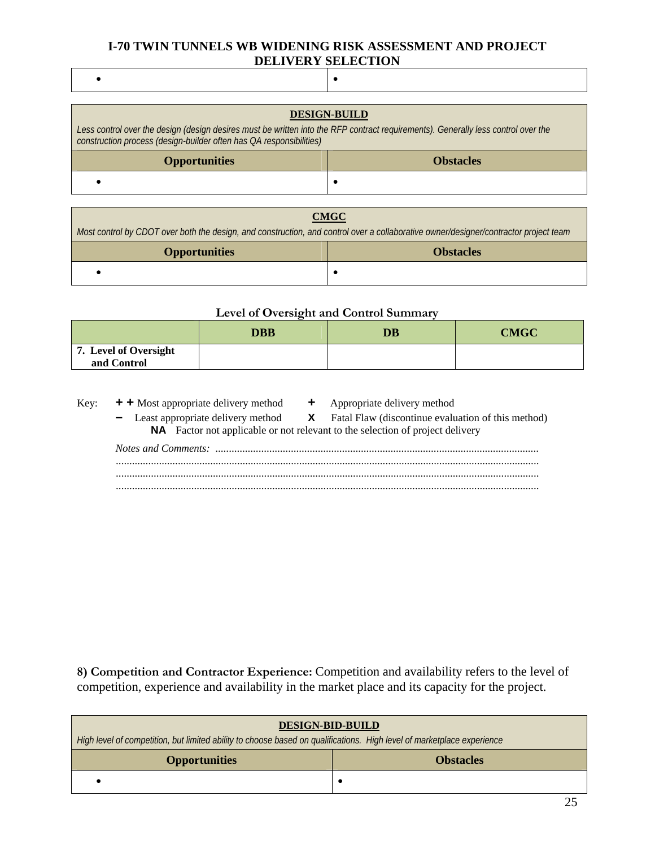$\bullet$  , and the contract of the contract of  $\bullet$ 

| <b>DESIGN-BUILD</b><br>Less control over the design (design desires must be written into the RFP contract requirements). Generally less control over the<br>construction process (design-builder often has QA responsibilities) |   |  |
|---------------------------------------------------------------------------------------------------------------------------------------------------------------------------------------------------------------------------------|---|--|
| <b>Opportunities</b><br><b>Obstacles</b>                                                                                                                                                                                        |   |  |
|                                                                                                                                                                                                                                 | ٠ |  |
|                                                                                                                                                                                                                                 |   |  |

**CMGC** 

*Most control by CDOT over both the design, and construction, and control over a collaborative owner/designer/contractor project team*

| <b>Opportunities</b> | <b>Obstacles</b> |
|----------------------|------------------|
|                      |                  |

## **Level of Oversight and Control Summary**

|                                      | <b>DBB</b> | $\overline{\mathbf{D}}\overline{\mathbf{B}}$ | <b>CMGC</b> |
|--------------------------------------|------------|----------------------------------------------|-------------|
| 7. Level of Oversight<br>and Control |            |                                              |             |

Key: **+ +** Most appropriate delivery method **+** Appropriate delivery method **–** Least appropriate delivery method **X** Fatal Flaw (discontinue evaluation of this method) **NA** Factor not applicable or not relevant to the selection of project delivery *Notes and Comments: ........................................................................................................................*  ............................................................................................................................................................. .............................................................................................................................................................

**8) Competition and Contractor Experience:** Competition and availability refers to the level of competition, experience and availability in the market place and its capacity for the project.

| <b>DESIGN-BID-BUILD</b><br>High level of competition, but limited ability to choose based on qualifications. High level of marketplace experience |  |  |
|---------------------------------------------------------------------------------------------------------------------------------------------------|--|--|
| <b>Opportunities</b><br><b>Obstacles</b>                                                                                                          |  |  |
|                                                                                                                                                   |  |  |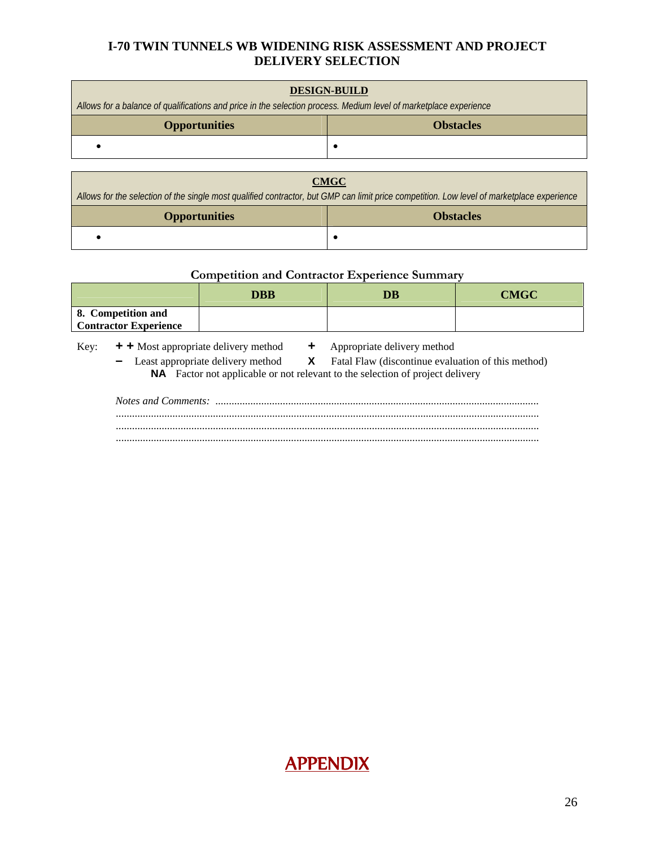| <b>DESIGN-BUILD</b><br>Allows for a balance of qualifications and price in the selection process. Medium level of marketplace experience |  |  |
|------------------------------------------------------------------------------------------------------------------------------------------|--|--|
| <b>Obstacles</b><br><b>Opportunities</b>                                                                                                 |  |  |
|                                                                                                                                          |  |  |
|                                                                                                                                          |  |  |

| <b>CMGC</b>                                                                                                                                |  |  |
|--------------------------------------------------------------------------------------------------------------------------------------------|--|--|
| Allows for the selection of the single most qualified contractor, but GMP can limit price competition. Low level of marketplace experience |  |  |
| <b>Opportunities</b><br><b>Obstacles</b>                                                                                                   |  |  |
|                                                                                                                                            |  |  |

# **Competition and Contractor Experience Summary**

|                                                    | <b>DBB</b> | DB | <b>CMGC</b> |
|----------------------------------------------------|------------|----|-------------|
| 8. Competition and<br><b>Contractor Experience</b> |            |    |             |

- Key: **+ +** Most appropriate delivery method **+** Appropriate delivery method
	-

**–** Least appropriate delivery method **X** Fatal Flaw (discontinue evaluation of this method) **NA** Factor not applicable or not relevant to the selection of project delivery

*Notes and Comments: ........................................................................................................................*  ............................................................................................................................................................. ............................................................................................................................................................. .............................................................................................................................................................

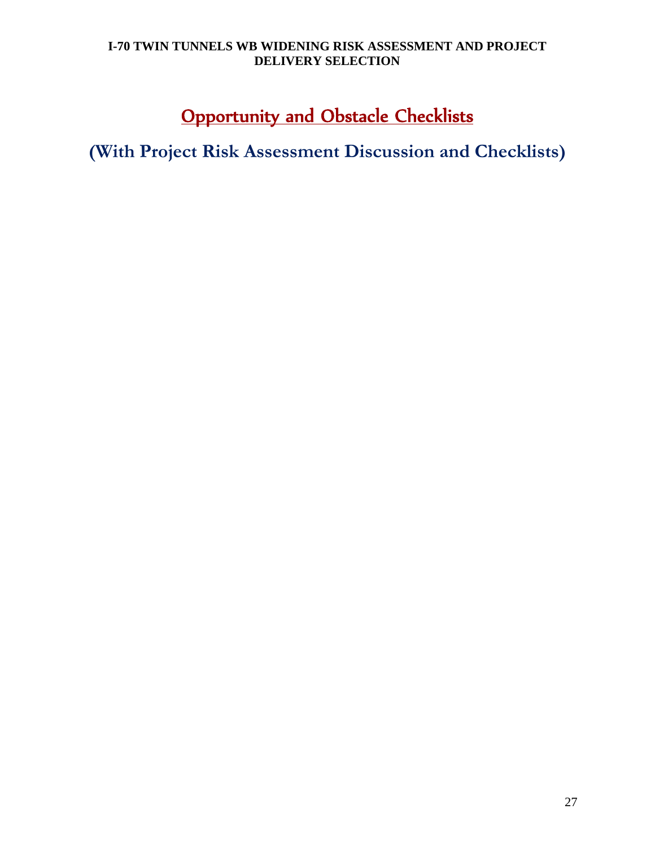# **Opportunity and Obstacle Checklists**

**(With Project Risk Assessment Discussion and Checklists)**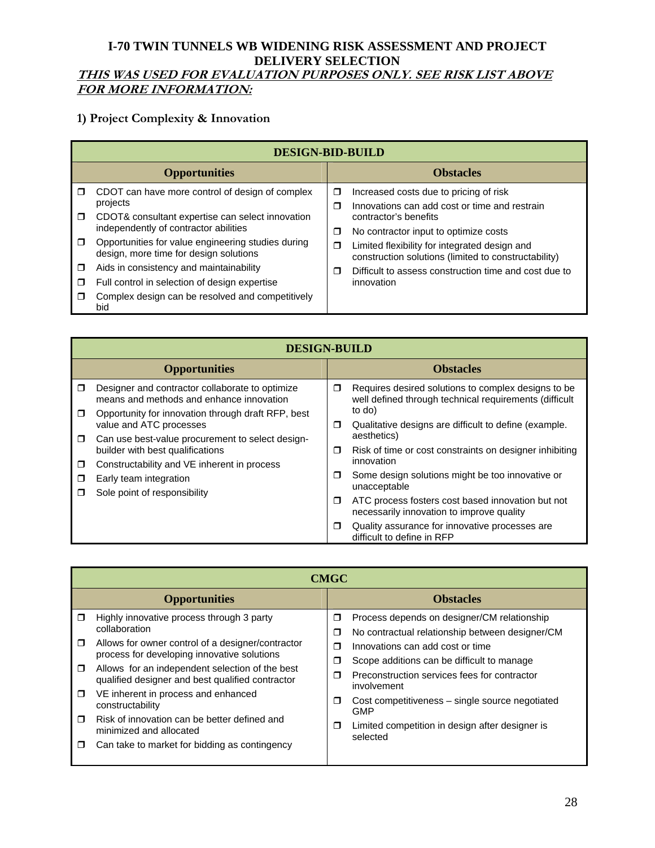# **THIS WAS USED FOR EVALUATION PURPOSES ONLY. SEE RISK LIST ABOVE FOR MORE INFORMATION:**

# **1) Project Complexity & Innovation**

|        | <b>DESIGN-BID-BUILD</b>                                                                      |        |                                                                                                       |  |
|--------|----------------------------------------------------------------------------------------------|--------|-------------------------------------------------------------------------------------------------------|--|
|        | <b>Opportunities</b>                                                                         |        | <b>Obstacles</b>                                                                                      |  |
| $\Box$ | CDOT can have more control of design of complex                                              | □      | Increased costs due to pricing of risk                                                                |  |
| $\Box$ | projects<br>CDOT& consultant expertise can select innovation                                 | $\Box$ | Innovations can add cost or time and restrain<br>contractor's benefits                                |  |
|        | independently of contractor abilities                                                        | σ      | No contractor input to optimize costs                                                                 |  |
| $\Box$ | Opportunities for value engineering studies during<br>design, more time for design solutions | ◘      | Limited flexibility for integrated design and<br>construction solutions (limited to constructability) |  |
| □      | Aids in consistency and maintainability                                                      | ⊓      | Difficult to assess construction time and cost due to                                                 |  |
| ◘      | Full control in selection of design expertise                                                |        | innovation                                                                                            |  |
| $\Box$ | Complex design can be resolved and competitively<br>bid                                      |        |                                                                                                       |  |

|                  | <b>DESIGN-BUILD</b>                                                                         |        |                                                                                                               |  |
|------------------|---------------------------------------------------------------------------------------------|--------|---------------------------------------------------------------------------------------------------------------|--|
|                  | <b>Opportunities</b>                                                                        |        | <b>Obstacles</b>                                                                                              |  |
| $\Box$           | Designer and contractor collaborate to optimize<br>means and methods and enhance innovation | $\Box$ | Requires desired solutions to complex designs to be<br>well defined through technical requirements (difficult |  |
| $\Box$           | Opportunity for innovation through draft RFP, best<br>value and ATC processes               | σ      | to do)<br>Qualitative designs are difficult to define (example.                                               |  |
| $\Box$           | Can use best-value procurement to select design-<br>builder with best qualifications        | ◘      | aesthetics)<br>Risk of time or cost constraints on designer inhibiting<br>innovation                          |  |
| $\Box$<br>$\Box$ | Constructability and VE inherent in process<br>Early team integration                       | $\Box$ | Some design solutions might be too innovative or<br>unacceptable                                              |  |
|                  | Sole point of responsibility                                                                | $\Box$ | ATC process fosters cost based innovation but not<br>necessarily innovation to improve quality                |  |
|                  |                                                                                             | □      | Quality assurance for innovative processes are<br>difficult to define in RFP                                  |  |

|        | <b>CMGC</b>                                                                                         |        |                                                                                                |  |
|--------|-----------------------------------------------------------------------------------------------------|--------|------------------------------------------------------------------------------------------------|--|
|        | <b>Opportunities</b>                                                                                |        | <b>Obstacles</b>                                                                               |  |
| □      | Highly innovative process through 3 party<br>collaboration                                          | Ω<br>Ω | Process depends on designer/CM relationship<br>No contractual relationship between designer/CM |  |
| ◘      | Allows for owner control of a designer/contractor<br>process for developing innovative solutions    | ⊓<br>Ω | Innovations can add cost or time<br>Scope additions can be difficult to manage                 |  |
| $\Box$ | Allows for an independent selection of the best<br>qualified designer and best qualified contractor | Ω      | Preconstruction services fees for contractor<br>involvement                                    |  |
| $\Box$ | VE inherent in process and enhanced<br>constructability                                             | Ω      | Cost competitiveness – single source negotiated<br><b>GMP</b>                                  |  |
| ⊓      | Risk of innovation can be better defined and<br>minimized and allocated                             | Ω      | Limited competition in design after designer is<br>selected                                    |  |
| П      | Can take to market for bidding as contingency                                                       |        |                                                                                                |  |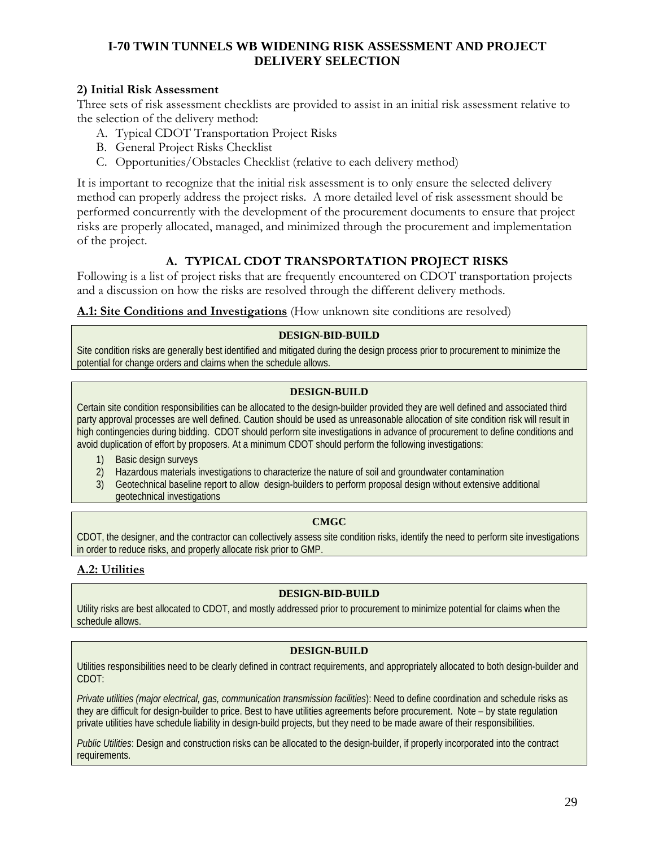# **2) Initial Risk Assessment**

Three sets of risk assessment checklists are provided to assist in an initial risk assessment relative to the selection of the delivery method:

- A. Typical CDOT Transportation Project Risks
- B. General Project Risks Checklist
- C. Opportunities/Obstacles Checklist (relative to each delivery method)

It is important to recognize that the initial risk assessment is to only ensure the selected delivery method can properly address the project risks. A more detailed level of risk assessment should be performed concurrently with the development of the procurement documents to ensure that project risks are properly allocated, managed, and minimized through the procurement and implementation of the project.

# **A. TYPICAL CDOT TRANSPORTATION PROJECT RISKS**

Following is a list of project risks that are frequently encountered on CDOT transportation projects and a discussion on how the risks are resolved through the different delivery methods.

**A.1: Site Conditions and Investigations** (How unknown site conditions are resolved)

## **DESIGN-BID-BUILD**

Site condition risks are generally best identified and mitigated during the design process prior to procurement to minimize the potential for change orders and claims when the schedule allows.

#### **DESIGN-BUILD**

Certain site condition responsibilities can be allocated to the design-builder provided they are well defined and associated third party approval processes are well defined. Caution should be used as unreasonable allocation of site condition risk will result in high contingencies during bidding. CDOT should perform site investigations in advance of procurement to define conditions and avoid duplication of effort by proposers. At a minimum CDOT should perform the following investigations:

1) Basic design surveys

2) Hazardous materials investigations to characterize the nature of soil and groundwater contamination

3) Geotechnical baseline report to allow design-builders to perform proposal design without extensive additional geotechnical investigations

## **CMGC**

CDOT, the designer, and the contractor can collectively assess site condition risks, identify the need to perform site investigations in order to reduce risks, and properly allocate risk prior to GMP.

# **A.2: Utilities**

#### **DESIGN-BID-BUILD**

Utility risks are best allocated to CDOT, and mostly addressed prior to procurement to minimize potential for claims when the schedule allows.

#### **DESIGN-BUILD**

Utilities responsibilities need to be clearly defined in contract requirements, and appropriately allocated to both design-builder and CDOT:

*Private utilities (major electrical, gas, communication transmission facilities*): Need to define coordination and schedule risks as they are difficult for design-builder to price. Best to have utilities agreements before procurement. Note – by state regulation private utilities have schedule liability in design-build projects, but they need to be made aware of their responsibilities.

*Public Utilities*: Design and construction risks can be allocated to the design-builder, if properly incorporated into the contract requirements.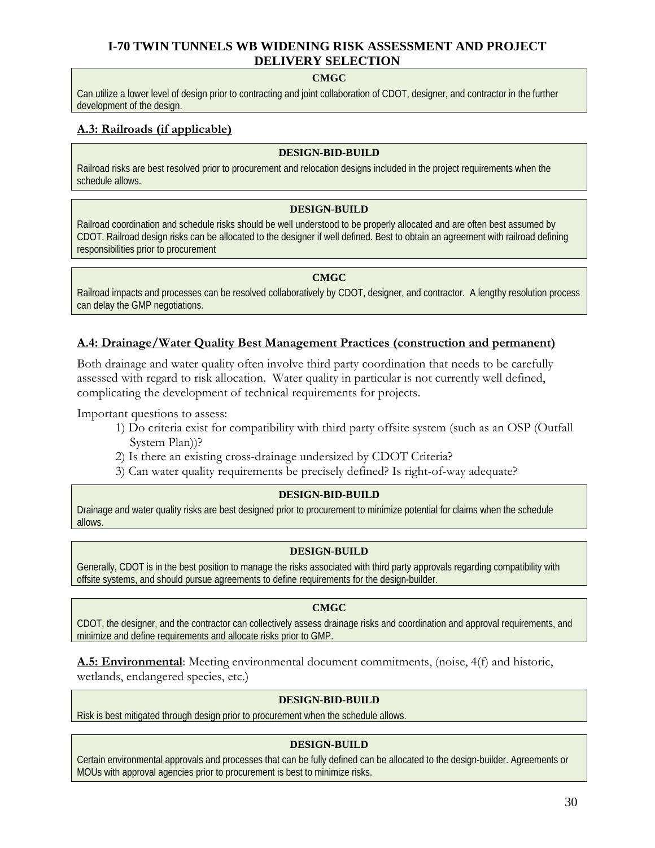#### **CMGC**

Can utilize a lower level of design prior to contracting and joint collaboration of CDOT, designer, and contractor in the further development of the design.

# **A.3: Railroads (if applicable)**

#### **DESIGN-BID-BUILD**

Railroad risks are best resolved prior to procurement and relocation designs included in the project requirements when the schedule allows.

#### **DESIGN-BUILD**

Railroad coordination and schedule risks should be well understood to be properly allocated and are often best assumed by CDOT. Railroad design risks can be allocated to the designer if well defined. Best to obtain an agreement with railroad defining responsibilities prior to procurement

#### **CMGC**

Railroad impacts and processes can be resolved collaboratively by CDOT, designer, and contractor. A lengthy resolution process can delay the GMP negotiations.

#### **A.4: Drainage/Water Quality Best Management Practices (construction and permanent)**

Both drainage and water quality often involve third party coordination that needs to be carefully assessed with regard to risk allocation. Water quality in particular is not currently well defined, complicating the development of technical requirements for projects.

Important questions to assess:

- 1) Do criteria exist for compatibility with third party offsite system (such as an OSP (Outfall System Plan))?
- 2) Is there an existing cross-drainage undersized by CDOT Criteria?
- 3) Can water quality requirements be precisely defined? Is right-of-way adequate?

#### **DESIGN-BID-BUILD**

Drainage and water quality risks are best designed prior to procurement to minimize potential for claims when the schedule allows.

#### **DESIGN-BUILD**

Generally, CDOT is in the best position to manage the risks associated with third party approvals regarding compatibility with offsite systems, and should pursue agreements to define requirements for the design-builder.

#### **CMGC**

CDOT, the designer, and the contractor can collectively assess drainage risks and coordination and approval requirements, and minimize and define requirements and allocate risks prior to GMP.

**A.5: Environmental**: Meeting environmental document commitments, (noise, 4(f) and historic, wetlands, endangered species, etc.)

#### **DESIGN-BID-BUILD**

Risk is best mitigated through design prior to procurement when the schedule allows.

#### **DESIGN-BUILD**

Certain environmental approvals and processes that can be fully defined can be allocated to the design-builder. Agreements or MOUs with approval agencies prior to procurement is best to minimize risks.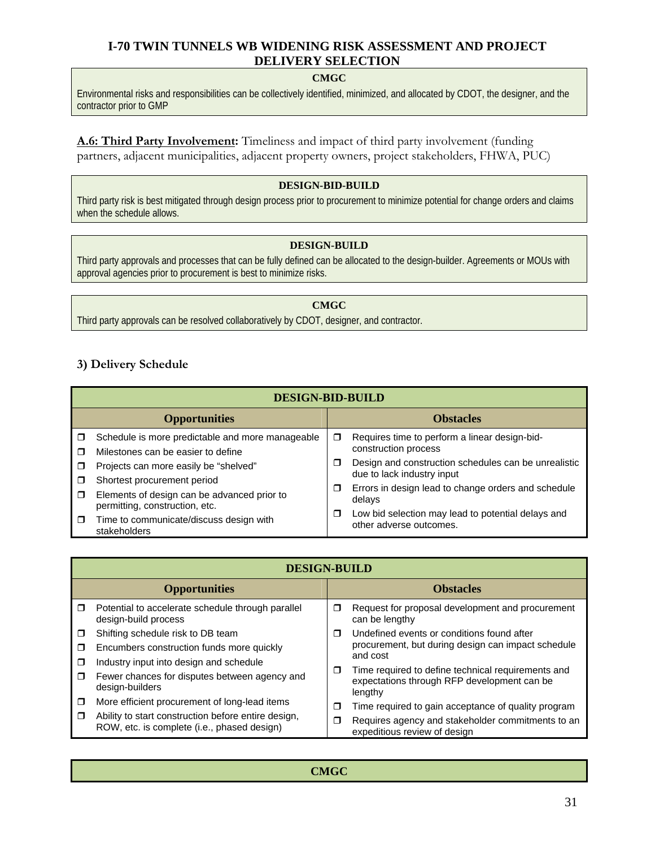#### **CMGC**

Environmental risks and responsibilities can be collectively identified, minimized, and allocated by CDOT, the designer, and the contractor prior to GMP

**A.6: Third Party Involvement:** Timeliness and impact of third party involvement (funding partners, adjacent municipalities, adjacent property owners, project stakeholders, FHWA, PUC)

#### **DESIGN-BID-BUILD**

Third party risk is best mitigated through design process prior to procurement to minimize potential for change orders and claims when the schedule allows.

#### **DESIGN-BUILD**

Third party approvals and processes that can be fully defined can be allocated to the design-builder. Agreements or MOUs with approval agencies prior to procurement is best to minimize risks.

**CMGC**  Third party approvals can be resolved collaboratively by CDOT, designer, and contractor.

## **3) Delivery Schedule**

|        | <b>DESIGN-BID-BUILD</b>                                                       |   |                                                                               |  |
|--------|-------------------------------------------------------------------------------|---|-------------------------------------------------------------------------------|--|
|        | <b>Opportunities</b>                                                          |   | <b>Obstacles</b>                                                              |  |
| $\Box$ | Schedule is more predictable and more manageable                              | σ | Requires time to perform a linear design-bid-<br>construction process         |  |
| ⊓<br>Π | Milestones can be easier to define<br>Projects can more easily be "shelved"   | □ | Design and construction schedules can be unrealistic                          |  |
| □      | Shortest procurement period                                                   |   | due to lack industry input                                                    |  |
| $\Box$ | Elements of design can be advanced prior to<br>permitting, construction, etc. | π | Errors in design lead to change orders and schedule<br>delays                 |  |
| $\Box$ | Time to communicate/discuss design with<br>stakeholders                       | □ | Low bid selection may lead to potential delays and<br>other adverse outcomes. |  |

|        | <b>DESIGN-BUILD</b>                                                                                |        |                                                                                                              |  |
|--------|----------------------------------------------------------------------------------------------------|--------|--------------------------------------------------------------------------------------------------------------|--|
|        | <b>Opportunities</b>                                                                               |        | <b>Obstacles</b>                                                                                             |  |
| $\Box$ | Potential to accelerate schedule through parallel<br>design-build process                          | σ      | Request for proposal development and procurement<br>can be lengthy                                           |  |
| $\Box$ | Shifting schedule risk to DB team                                                                  | $\Box$ | Undefined events or conditions found after                                                                   |  |
| $\Box$ | Encumbers construction funds more quickly                                                          |        | procurement, but during design can impact schedule                                                           |  |
| $\Box$ | Industry input into design and schedule                                                            |        | and cost                                                                                                     |  |
| $\Box$ | Fewer chances for disputes between agency and<br>design-builders                                   | $\Box$ | Time required to define technical requirements and<br>expectations through RFP development can be<br>lengthy |  |
| $\Box$ | More efficient procurement of long-lead items                                                      | $\Box$ | Time required to gain acceptance of quality program                                                          |  |
| $\Box$ | Ability to start construction before entire design,<br>ROW, etc. is complete (i.e., phased design) | Π      | Requires agency and stakeholder commitments to an<br>expeditious review of design                            |  |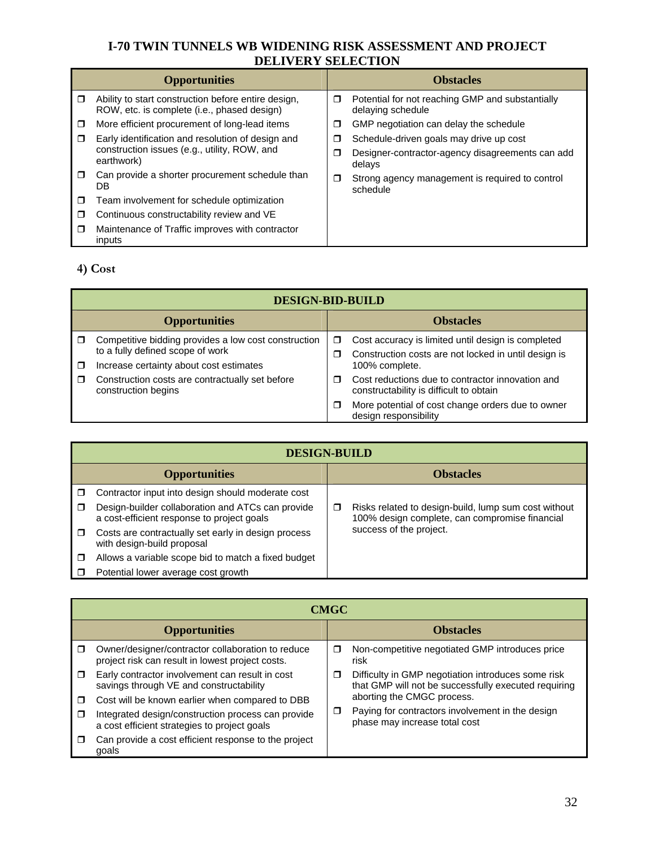|        | DELIVENT BELECTION                                                                                 |   |                                                                       |  |
|--------|----------------------------------------------------------------------------------------------------|---|-----------------------------------------------------------------------|--|
|        | <b>Opportunities</b>                                                                               |   | <b>Obstacles</b>                                                      |  |
| $\Box$ | Ability to start construction before entire design,<br>ROW, etc. is complete (i.e., phased design) | ◘ | Potential for not reaching GMP and substantially<br>delaying schedule |  |
| $\Box$ | More efficient procurement of long-lead items                                                      | П | GMP negotiation can delay the schedule                                |  |
| $\Box$ | Early identification and resolution of design and                                                  | □ | Schedule-driven goals may drive up cost                               |  |
|        | construction issues (e.g., utility, ROW, and<br>earthwork)                                         | Ш | Designer-contractor-agency disagreements can add<br>delays            |  |
| $\Box$ | Can provide a shorter procurement schedule than<br>DB                                              | □ | Strong agency management is required to control<br>schedule           |  |
| $\Box$ | Team involvement for schedule optimization                                                         |   |                                                                       |  |
| $\Box$ | Continuous constructability review and VE                                                          |   |                                                                       |  |
| $\Box$ | Maintenance of Traffic improves with contractor<br>inputs                                          |   |                                                                       |  |

# **4) Cost**

|        | <b>DESIGN-BID-BUILD</b>                                                                                                             |        |                                                                                                                              |  |
|--------|-------------------------------------------------------------------------------------------------------------------------------------|--------|------------------------------------------------------------------------------------------------------------------------------|--|
|        | <b>Opportunities</b>                                                                                                                |        | <b>Obstacles</b>                                                                                                             |  |
|        | Competitive bidding provides a low cost construction<br>to a fully defined scope of work<br>Increase certainty about cost estimates | σ<br>□ | Cost accuracy is limited until design is completed<br>Construction costs are not locked in until design is<br>100% complete. |  |
| $\Box$ | Construction costs are contractually set before<br>construction begins                                                              | ⊓      | Cost reductions due to contractor innovation and<br>constructability is difficult to obtain                                  |  |
|        |                                                                                                                                     |        | More potential of cost change orders due to owner<br>design responsibility                                                   |  |

|   | <b>DESIGN-BUILD</b>                                                                             |   |                                                                                                        |  |  |
|---|-------------------------------------------------------------------------------------------------|---|--------------------------------------------------------------------------------------------------------|--|--|
|   | <b>Opportunities</b>                                                                            |   | <b>Obstacles</b>                                                                                       |  |  |
|   | Contractor input into design should moderate cost                                               |   |                                                                                                        |  |  |
| □ | Design-builder collaboration and ATCs can provide<br>a cost-efficient response to project goals | ◘ | Risks related to design-build, lump sum cost without<br>100% design complete, can compromise financial |  |  |
| □ | Costs are contractually set early in design process<br>with design-build proposal               |   |                                                                                                        |  |  |
| □ | Allows a variable scope bid to match a fixed budget                                             |   |                                                                                                        |  |  |
|   | Potential lower average cost growth                                                             |   |                                                                                                        |  |  |

|        | <b>CMGC</b>                                                                                           |   |                                                                                                            |  |  |
|--------|-------------------------------------------------------------------------------------------------------|---|------------------------------------------------------------------------------------------------------------|--|--|
|        | <b>Opportunities</b>                                                                                  |   | <b>Obstacles</b>                                                                                           |  |  |
| $\Box$ | Owner/designer/contractor collaboration to reduce<br>project risk can result in lowest project costs. | □ | Non-competitive negotiated GMP introduces price<br>risk                                                    |  |  |
| $\Box$ | Early contractor involvement can result in cost<br>savings through VE and constructability            | ⊓ | Difficulty in GMP negotiation introduces some risk<br>that GMP will not be successfully executed requiring |  |  |
| $\Box$ | Cost will be known earlier when compared to DBB                                                       |   | aborting the CMGC process.                                                                                 |  |  |
| $\Box$ | Integrated design/construction process can provide<br>a cost efficient strategies to project goals    | □ | Paying for contractors involvement in the design<br>phase may increase total cost                          |  |  |
| ⊓      | Can provide a cost efficient response to the project<br>goals                                         |   |                                                                                                            |  |  |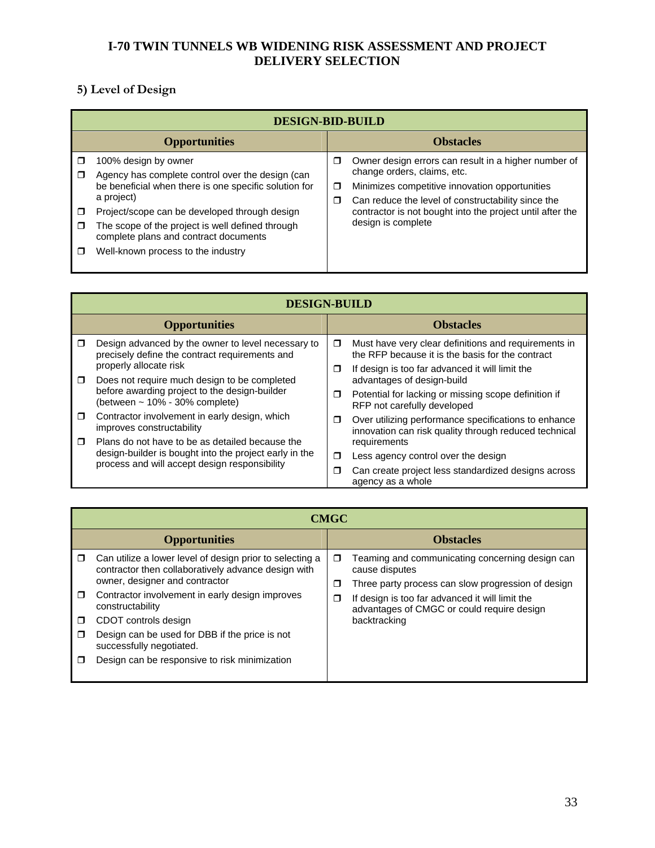# **5) Level of Design**

| <b>DESIGN-BID-BUILD</b> |                                                                                                                                                                                                                                                                                                                                     |             |                                                                                                                                                                                                                                                                                |
|-------------------------|-------------------------------------------------------------------------------------------------------------------------------------------------------------------------------------------------------------------------------------------------------------------------------------------------------------------------------------|-------------|--------------------------------------------------------------------------------------------------------------------------------------------------------------------------------------------------------------------------------------------------------------------------------|
|                         | <b>Opportunities</b>                                                                                                                                                                                                                                                                                                                |             | <b>Obstacles</b>                                                                                                                                                                                                                                                               |
| □<br>□<br>П             | 100% design by owner<br>Agency has complete control over the design (can<br>be beneficial when there is one specific solution for<br>a project)<br>Project/scope can be developed through design<br>The scope of the project is well defined through<br>complete plans and contract documents<br>Well-known process to the industry | □<br>σ<br>σ | Owner design errors can result in a higher number of<br>change orders, claims, etc.<br>Minimizes competitive innovation opportunities<br>Can reduce the level of constructability since the<br>contractor is not bought into the project until after the<br>design is complete |

|        | <b>DESIGN-BUILD</b>                                                                                     |        |                                                                                                               |  |  |
|--------|---------------------------------------------------------------------------------------------------------|--------|---------------------------------------------------------------------------------------------------------------|--|--|
|        | <b>Opportunities</b>                                                                                    |        | <b>Obstacles</b>                                                                                              |  |  |
| $\Box$ | Design advanced by the owner to level necessary to<br>precisely define the contract requirements and    | $\Box$ | Must have very clear definitions and requirements in<br>the RFP because it is the basis for the contract      |  |  |
| $\Box$ | properly allocate risk<br>Does not require much design to be completed                                  | $\Box$ | If design is too far advanced it will limit the<br>advantages of design-build                                 |  |  |
|        | before awarding project to the design-builder<br>(between $\sim$ 10% - 30% complete)                    | □      | Potential for lacking or missing scope definition if<br>RFP not carefully developed                           |  |  |
| $\Box$ | Contractor involvement in early design, which<br>improves constructability                              | □      | Over utilizing performance specifications to enhance<br>innovation can risk quality through reduced technical |  |  |
| $\Box$ | Plans do not have to be as detailed because the                                                         |        | requirements                                                                                                  |  |  |
|        | design-builder is bought into the project early in the<br>process and will accept design responsibility | □      | Less agency control over the design                                                                           |  |  |
|        |                                                                                                         | □      | Can create project less standardized designs across<br>agency as a whole                                      |  |  |

|                       | <b>CMGC</b>                                                                                                                                                                                                                                                                                                                                                                     |             |                                                                                                                                                                                                                                          |  |  |
|-----------------------|---------------------------------------------------------------------------------------------------------------------------------------------------------------------------------------------------------------------------------------------------------------------------------------------------------------------------------------------------------------------------------|-------------|------------------------------------------------------------------------------------------------------------------------------------------------------------------------------------------------------------------------------------------|--|--|
|                       | <b>Opportunities</b>                                                                                                                                                                                                                                                                                                                                                            |             | <b>Obstacles</b>                                                                                                                                                                                                                         |  |  |
| ◘<br>□<br>$\Box$<br>⊓ | Can utilize a lower level of design prior to selecting a<br>contractor then collaboratively advance design with<br>owner, designer and contractor<br>Contractor involvement in early design improves<br>constructability<br>CDOT controls design<br>Design can be used for DBB if the price is not<br>successfully negotiated.<br>Design can be responsive to risk minimization | □<br>σ<br>Ω | Teaming and communicating concerning design can<br>cause disputes<br>Three party process can slow progression of design<br>If design is too far advanced it will limit the<br>advantages of CMGC or could require design<br>backtracking |  |  |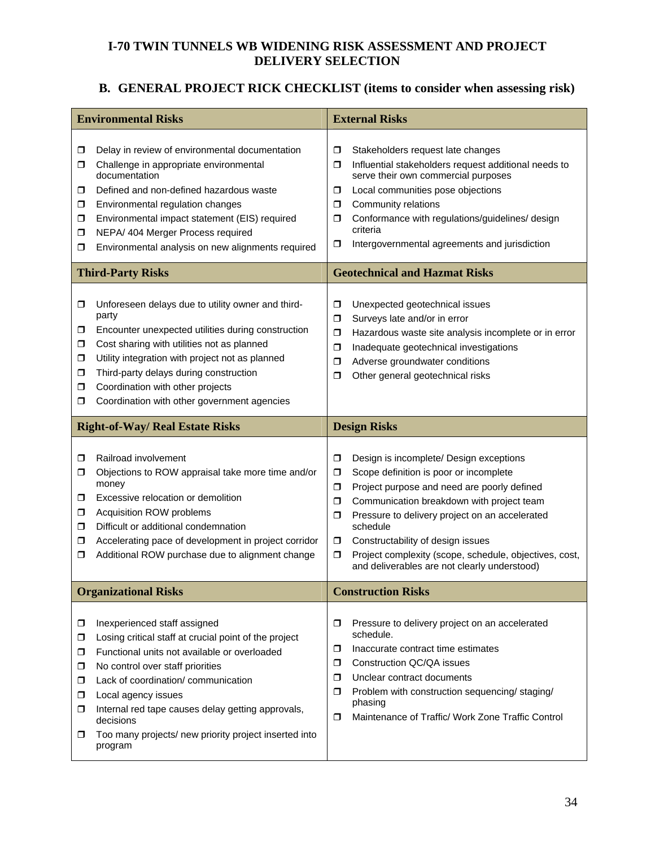# **B. GENERAL PROJECT RICK CHECKLIST (items to consider when assessing risk)**

| <b>Environmental Risks</b>       |                                                                                                                                                                                                                                                                                                                                                |                                           | <b>External Risks</b>                                                                                                                                                                                                                                                                                                                                                                      |  |  |
|----------------------------------|------------------------------------------------------------------------------------------------------------------------------------------------------------------------------------------------------------------------------------------------------------------------------------------------------------------------------------------------|-------------------------------------------|--------------------------------------------------------------------------------------------------------------------------------------------------------------------------------------------------------------------------------------------------------------------------------------------------------------------------------------------------------------------------------------------|--|--|
| ◻<br>σ.<br>⊓<br>□<br>□<br>□<br>◻ | Delay in review of environmental documentation<br>Challenge in appropriate environmental<br>documentation<br>Defined and non-defined hazardous waste<br>Environmental regulation changes<br>Environmental impact statement (EIS) required<br>NEPA/ 404 Merger Process required<br>Environmental analysis on new alignments required            | ◘<br>$\Box$<br>◘<br>σ<br>◘<br>σ           | Stakeholders request late changes<br>Influential stakeholders request additional needs to<br>serve their own commercial purposes<br>Local communities pose objections<br>Community relations<br>Conformance with regulations/guidelines/ design<br>criteria<br>Intergovernmental agreements and jurisdiction                                                                               |  |  |
|                                  | <b>Third-Party Risks</b>                                                                                                                                                                                                                                                                                                                       |                                           | <b>Geotechnical and Hazmat Risks</b>                                                                                                                                                                                                                                                                                                                                                       |  |  |
| ◘<br>□<br>σ.<br>σ<br>□<br>□<br>◻ | Unforeseen delays due to utility owner and third-<br>party<br>Encounter unexpected utilities during construction<br>Cost sharing with utilities not as planned<br>Utility integration with project not as planned<br>Third-party delays during construction<br>Coordination with other projects<br>Coordination with other government agencies | σ<br>σ<br>σ<br>σ<br>$\Box$<br>σ           | Unexpected geotechnical issues<br>Surveys late and/or in error<br>Hazardous waste site analysis incomplete or in error<br>Inadequate geotechnical investigations<br>Adverse groundwater conditions<br>Other general geotechnical risks                                                                                                                                                     |  |  |
|                                  | <b>Right-of-Way/ Real Estate Risks</b>                                                                                                                                                                                                                                                                                                         |                                           | <b>Design Risks</b>                                                                                                                                                                                                                                                                                                                                                                        |  |  |
| σ<br>σ.<br>◻<br>□<br>◻<br>□<br>◘ | Railroad involvement<br>Objections to ROW appraisal take more time and/or<br>money<br>Excessive relocation or demolition<br>Acquisition ROW problems<br>Difficult or additional condemnation<br>Accelerating pace of development in project corridor<br>Additional ROW purchase due to alignment change                                        | σ<br>◘<br>$\Box$<br>◘<br>◘<br>□<br>$\Box$ | Design is incomplete/ Design exceptions<br>Scope definition is poor or incomplete<br>Project purpose and need are poorly defined<br>Communication breakdown with project team<br>Pressure to delivery project on an accelerated<br>schedule<br>Constructability of design issues<br>Project complexity (scope, schedule, objectives, cost,<br>and deliverables are not clearly understood) |  |  |
|                                  |                                                                                                                                                                                                                                                                                                                                                |                                           |                                                                                                                                                                                                                                                                                                                                                                                            |  |  |
|                                  | <b>Organizational Risks</b>                                                                                                                                                                                                                                                                                                                    |                                           | <b>Construction Risks</b>                                                                                                                                                                                                                                                                                                                                                                  |  |  |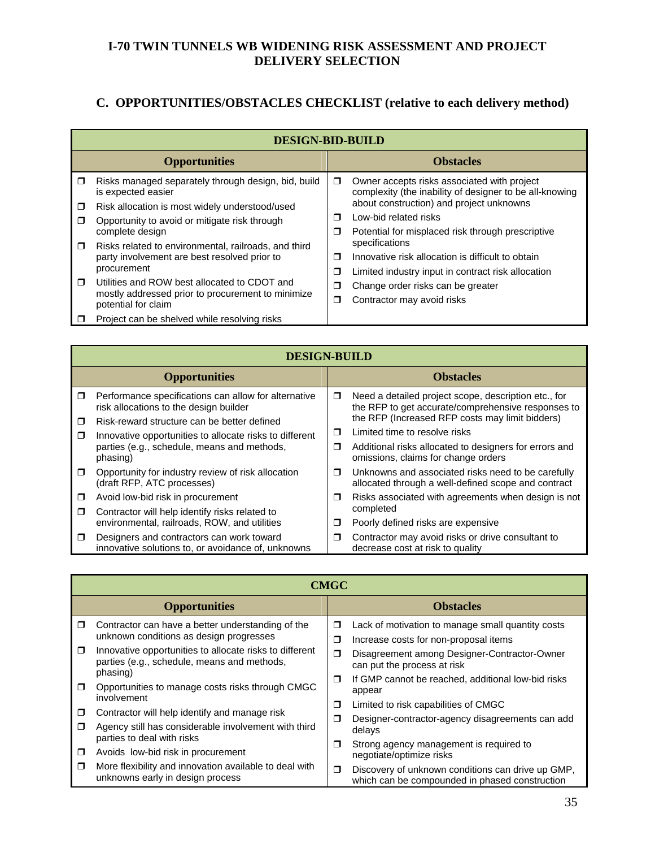# **C. OPPORTUNITIES/OBSTACLES CHECKLIST (relative to each delivery method)**

|        | <b>DESIGN-BID-BUILD</b>                                                   |   |                                                                                                        |  |  |
|--------|---------------------------------------------------------------------------|---|--------------------------------------------------------------------------------------------------------|--|--|
|        | <b>Opportunities</b>                                                      |   | <b>Obstacles</b>                                                                                       |  |  |
| $\Box$ | Risks managed separately through design, bid, build<br>is expected easier | ◘ | Owner accepts risks associated with project<br>complexity (the inability of designer to be all-knowing |  |  |
| $\Box$ | Risk allocation is most widely understood/used                            |   | about construction) and project unknowns                                                               |  |  |
| $\Box$ | Opportunity to avoid or mitigate risk through                             | Ω | Low-bid related risks                                                                                  |  |  |
|        | complete design                                                           | σ | Potential for misplaced risk through prescriptive                                                      |  |  |
| $\Box$ | Risks related to environmental, railroads, and third                      |   | specifications                                                                                         |  |  |
|        | party involvement are best resolved prior to                              | ⊓ | Innovative risk allocation is difficult to obtain                                                      |  |  |
|        | procurement                                                               | σ | Limited industry input in contract risk allocation                                                     |  |  |
| $\Box$ | Utilities and ROW best allocated to CDOT and                              | σ | Change order risks can be greater                                                                      |  |  |
|        | mostly addressed prior to procurement to minimize<br>potential for claim  | ◘ | Contractor may avoid risks                                                                             |  |  |
|        | Project can be shelved while resolving risks                              |   |                                                                                                        |  |  |

|        | <b>DESIGN-BUILD</b>                                                                             |        |                                                                                                            |  |  |
|--------|-------------------------------------------------------------------------------------------------|--------|------------------------------------------------------------------------------------------------------------|--|--|
|        | <b>Opportunities</b>                                                                            |        | <b>Obstacles</b>                                                                                           |  |  |
| $\Box$ | Performance specifications can allow for alternative<br>risk allocations to the design builder  | σ      | Need a detailed project scope, description etc., for<br>the RFP to get accurate/comprehensive responses to |  |  |
| $\Box$ | Risk-reward structure can be better defined                                                     | ⊓      | the RFP (Increased RFP costs may limit bidders)                                                            |  |  |
| $\Box$ | Innovative opportunities to allocate risks to different                                         |        | Limited time to resolve risks                                                                              |  |  |
|        | parties (e.g., schedule, means and methods,<br>phasing)                                         | Ω      | Additional risks allocated to designers for errors and<br>omissions, claims for change orders              |  |  |
| $\Box$ | Opportunity for industry review of risk allocation<br>(draft RFP, ATC processes)                | $\Box$ | Unknowns and associated risks need to be carefully<br>allocated through a well-defined scope and contract  |  |  |
| $\Box$ | Avoid low-bid risk in procurement                                                               | □      | Risks associated with agreements when design is not                                                        |  |  |
| $\Box$ | Contractor will help identify risks related to                                                  |        | completed                                                                                                  |  |  |
|        | environmental, railroads, ROW, and utilities                                                    | □      | Poorly defined risks are expensive                                                                         |  |  |
| $\Box$ | Designers and contractors can work toward<br>innovative solutions to, or avoidance of, unknowns | □      | Contractor may avoid risks or drive consultant to<br>decrease cost at risk to quality                      |  |  |

|                  | <b>CMGC</b>                                                                                                                                             |                  |                                                                                                                                   |  |  |
|------------------|---------------------------------------------------------------------------------------------------------------------------------------------------------|------------------|-----------------------------------------------------------------------------------------------------------------------------------|--|--|
|                  | <b>Opportunities</b>                                                                                                                                    |                  | <b>Obstacles</b>                                                                                                                  |  |  |
| $\Box$<br>$\Box$ | Contractor can have a better understanding of the<br>unknown conditions as design progresses<br>Innovative opportunities to allocate risks to different | σ<br>σ           | Lack of motivation to manage small quantity costs<br>Increase costs for non-proposal items                                        |  |  |
|                  | parties (e.g., schedule, means and methods,<br>phasing)                                                                                                 | $\Box$<br>$\Box$ | Disagreement among Designer-Contractor-Owner<br>can put the process at risk<br>If GMP cannot be reached, additional low-bid risks |  |  |
| $\Box$           | Opportunities to manage costs risks through CMGC<br>involvement                                                                                         | σ                | appear<br>Limited to risk capabilities of CMGC                                                                                    |  |  |
| $\Box$<br>$\Box$ | Contractor will help identify and manage risk<br>Agency still has considerable involvement with third<br>parties to deal with risks                     | σ                | Designer-contractor-agency disagreements can add<br>delays                                                                        |  |  |
| $\Box$           | Avoids low-bid risk in procurement                                                                                                                      | σ                | Strong agency management is required to<br>negotiate/optimize risks                                                               |  |  |
| $\Box$           | More flexibility and innovation available to deal with<br>unknowns early in design process                                                              | σ                | Discovery of unknown conditions can drive up GMP,<br>which can be compounded in phased construction                               |  |  |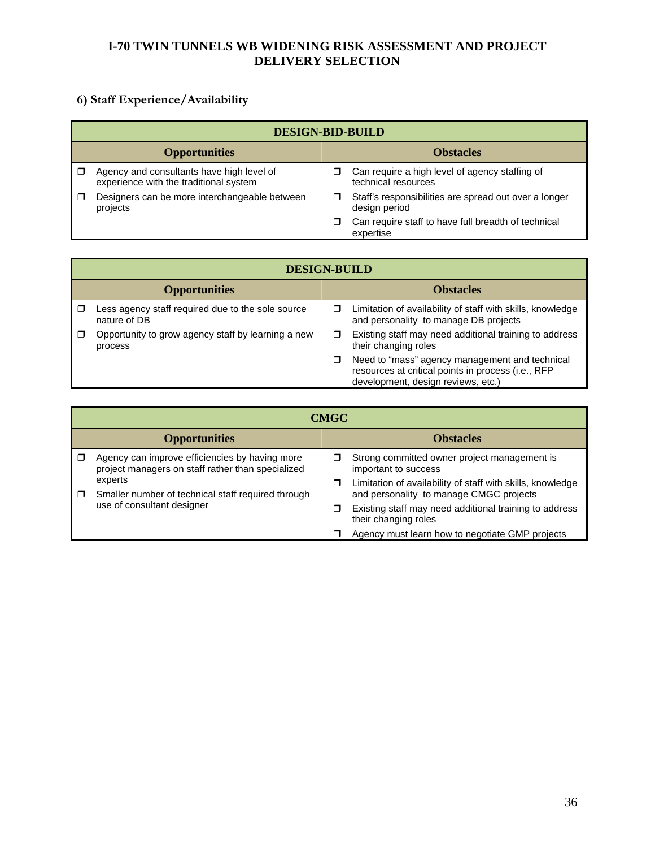# **6) Staff Experience/Availability**

|                      | <b>DESIGN-BID-BUILD</b>                                                             |   |                                                                        |  |  |
|----------------------|-------------------------------------------------------------------------------------|---|------------------------------------------------------------------------|--|--|
| <b>Opportunities</b> |                                                                                     |   | <b>Obstacles</b>                                                       |  |  |
|                      | Agency and consultants have high level of<br>experience with the traditional system | □ | Can require a high level of agency staffing of<br>technical resources  |  |  |
|                      | Designers can be more interchangeable between<br>projects                           | □ | Staff's responsibilities are spread out over a longer<br>design period |  |  |
|                      |                                                                                     | □ | Can require staff to have full breadth of technical<br>expertise       |  |  |

|                      | <b>DESIGN-BUILD</b>                                               |                  |                                                                                                                                            |  |
|----------------------|-------------------------------------------------------------------|------------------|--------------------------------------------------------------------------------------------------------------------------------------------|--|
| <b>Opportunities</b> |                                                                   | <b>Obstacles</b> |                                                                                                                                            |  |
|                      | Less agency staff required due to the sole source<br>nature of DB | □                | Limitation of availability of staff with skills, knowledge<br>and personality to manage DB projects                                        |  |
|                      | Opportunity to grow agency staff by learning a new<br>process     | □                | Existing staff may need additional training to address<br>their changing roles                                                             |  |
|                      |                                                                   | π                | Need to "mass" agency management and technical<br>resources at critical points in process (i.e., RFP<br>development, design reviews, etc.) |  |

|                      | <b>CMGC</b>                                                                                         |        |                                                                                                       |  |  |
|----------------------|-----------------------------------------------------------------------------------------------------|--------|-------------------------------------------------------------------------------------------------------|--|--|
| <b>Opportunities</b> |                                                                                                     |        | <b>Obstacles</b>                                                                                      |  |  |
|                      | Agency can improve efficiencies by having more<br>project managers on staff rather than specialized | □      | Strong committed owner project management is<br>important to success                                  |  |  |
| □                    | experts<br>Smaller number of technical staff required through<br>use of consultant designer         | □      | Limitation of availability of staff with skills, knowledge<br>and personality to manage CMGC projects |  |  |
|                      |                                                                                                     | $\Box$ | Existing staff may need additional training to address<br>their changing roles                        |  |  |
|                      |                                                                                                     |        | Agency must learn how to negotiate GMP projects                                                       |  |  |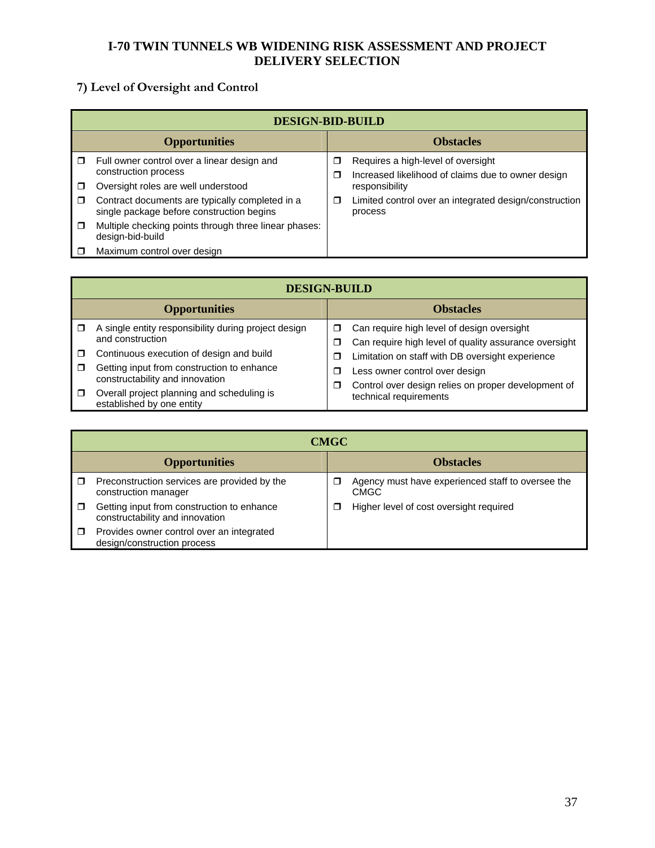# **7) Level of Oversight and Control**

|        | <b>DESIGN-BID-BUILD</b>                                                                      |        |                                                                                          |  |  |
|--------|----------------------------------------------------------------------------------------------|--------|------------------------------------------------------------------------------------------|--|--|
|        | <b>Opportunities</b>                                                                         |        | <b>Obstacles</b>                                                                         |  |  |
| $\Box$ | Full owner control over a linear design and<br>construction process                          | □<br>□ | Requires a high-level of oversight<br>Increased likelihood of claims due to owner design |  |  |
| П      | Oversight roles are well understood                                                          |        | responsibility                                                                           |  |  |
| $\Box$ | Contract documents are typically completed in a<br>single package before construction begins | □      | Limited control over an integrated design/construction<br>process                        |  |  |
| $\Box$ | Multiple checking points through three linear phases:<br>design-bid-build                    |        |                                                                                          |  |  |
|        | Maximum control over design                                                                  |        |                                                                                          |  |  |

|                      | <b>DESIGN-BUILD</b>                                                                                                       |                  |                                                                                                     |  |  |  |
|----------------------|---------------------------------------------------------------------------------------------------------------------------|------------------|-----------------------------------------------------------------------------------------------------|--|--|--|
| <b>Opportunities</b> |                                                                                                                           | <b>Obstacles</b> |                                                                                                     |  |  |  |
|                      | A single entity responsibility during project design<br>and construction                                                  | □<br>□           | Can require high level of design oversight<br>Can require high level of quality assurance oversight |  |  |  |
| $\Box$<br>$\Box$     | Continuous execution of design and build<br>Getting input from construction to enhance<br>constructability and innovation | □<br>⊓<br>□      | Limitation on staff with DB oversight experience<br>Less owner control over design                  |  |  |  |
| $\Box$               | Overall project planning and scheduling is<br>established by one entity                                                   |                  | Control over design relies on proper development of<br>technical requirements                       |  |  |  |

|                      | <b>CMGC</b>                                                                   |                  |                                                                  |  |
|----------------------|-------------------------------------------------------------------------------|------------------|------------------------------------------------------------------|--|
| <b>Opportunities</b> |                                                                               | <b>Obstacles</b> |                                                                  |  |
|                      | Preconstruction services are provided by the<br>construction manager          |                  | Agency must have experienced staff to oversee the<br><b>CMGC</b> |  |
|                      | Getting input from construction to enhance<br>constructability and innovation | $\Box$           | Higher level of cost oversight required                          |  |
|                      | Provides owner control over an integrated<br>design/construction process      |                  |                                                                  |  |